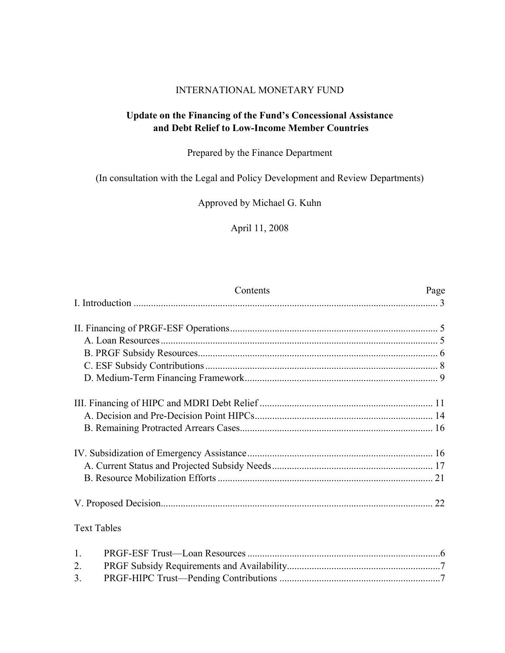# INTERNATIONAL MONETARY FUND

# **Update on the Financing of the Fund's Concessional Assistance and Debt Relief to Low-Income Member Countries**

# Prepared by the Finance Department

(In consultation with the Legal and Policy Development and Review Departments)

Approved by Michael G. Kuhn

April 11, 2008

| Contents                                                                                                                         | Page         |
|----------------------------------------------------------------------------------------------------------------------------------|--------------|
|                                                                                                                                  |              |
|                                                                                                                                  |              |
|                                                                                                                                  |              |
|                                                                                                                                  |              |
|                                                                                                                                  |              |
|                                                                                                                                  |              |
|                                                                                                                                  |              |
|                                                                                                                                  |              |
|                                                                                                                                  |              |
|                                                                                                                                  |              |
|                                                                                                                                  |              |
|                                                                                                                                  |              |
|                                                                                                                                  |              |
| <b>Text Tables</b>                                                                                                               |              |
| $\mathbf{1}$ .<br>$DDCF$ $C1$ $C2$ $C3$ $C4$ $D5$ $C5$ $C6$ $C7$ $D8$ $C8$ $D9$ $C9$ $D9$ $C1$ $D2$ $D1$ $D2$ $D1$ $D1$ $D2\sim$ | $\mathbf{z}$ |

| $\mathcal{L}$ . |  |
|-----------------|--|
|                 |  |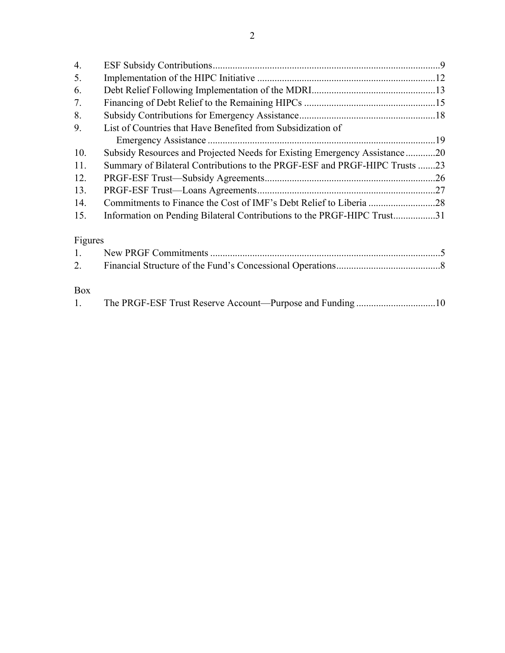| $\overline{4}$ . |                                                                            |  |
|------------------|----------------------------------------------------------------------------|--|
| 5.               |                                                                            |  |
| 6.               |                                                                            |  |
| 7.               |                                                                            |  |
| 8.               |                                                                            |  |
| 9.               | List of Countries that Have Benefited from Subsidization of                |  |
|                  |                                                                            |  |
| 10.              | Subsidy Resources and Projected Needs for Existing Emergency Assistance20  |  |
| 11.              | Summary of Bilateral Contributions to the PRGF-ESF and PRGF-HIPC Trusts 23 |  |
| 12.              |                                                                            |  |
| 13.              |                                                                            |  |
| 14.              |                                                                            |  |
| 15.              | Information on Pending Bilateral Contributions to the PRGF-HIPC Trust31    |  |
| Figures          |                                                                            |  |
| 1.               |                                                                            |  |
| 2.               |                                                                            |  |
| Box              |                                                                            |  |
| $\mathbf{1}$ .   |                                                                            |  |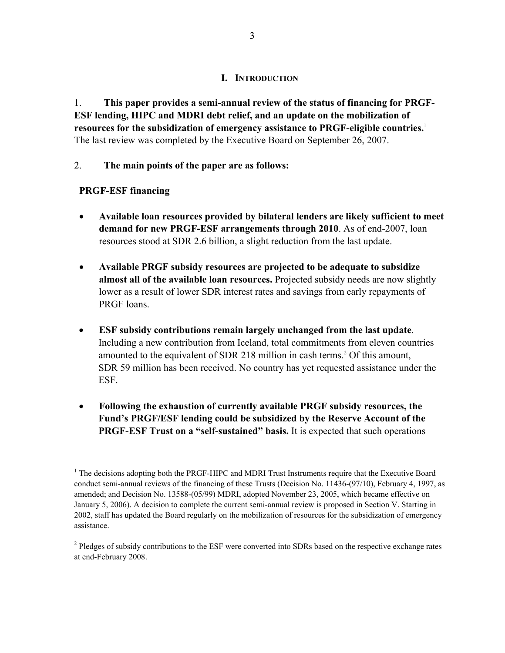# **I. INTRODUCTION**

1. **This paper provides a semi-annual review of the status of financing for PRGF-ESF lending, HIPC and MDRI debt relief, and an update on the mobilization of resources for the subsidization of emergency assistance to PRGF-eligible countries.**<sup>1</sup> The last review was completed by the Executive Board on September 26, 2007.

# 2. **The main points of the paper are as follows:**

# **PRGF-ESF financing**

1

- **Available loan resources provided by bilateral lenders are likely sufficient to meet demand for new PRGF-ESF arrangements through 2010**. As of end-2007, loan resources stood at SDR 2.6 billion, a slight reduction from the last update.
- **Available PRGF subsidy resources are projected to be adequate to subsidize almost all of the available loan resources.** Projected subsidy needs are now slightly lower as a result of lower SDR interest rates and savings from early repayments of PRGF loans.
- **ESF subsidy contributions remain largely unchanged from the last update**. Including a new contribution from Iceland, total commitments from eleven countries amounted to the equivalent of SDR 218 million in cash terms.<sup>2</sup> Of this amount, SDR 59 million has been received. No country has yet requested assistance under the ESF.
- **Following the exhaustion of currently available PRGF subsidy resources, the Fund's PRGF/ESF lending could be subsidized by the Reserve Account of the PRGF-ESF Trust on a "self-sustained" basis.** It is expected that such operations

<sup>&</sup>lt;sup>1</sup> The decisions adopting both the PRGF-HIPC and MDRI Trust Instruments require that the Executive Board conduct semi-annual reviews of the financing of these Trusts (Decision No. 11436-(97/10), February 4, 1997, as amended; and Decision No. 13588-(05/99) MDRI, adopted November 23, 2005, which became effective on January 5, 2006). A decision to complete the current semi-annual review is proposed in Section V. Starting in 2002, staff has updated the Board regularly on the mobilization of resources for the subsidization of emergency assistance.

<sup>&</sup>lt;sup>2</sup> Pledges of subsidy contributions to the ESF were converted into SDRs based on the respective exchange rates at end-February 2008.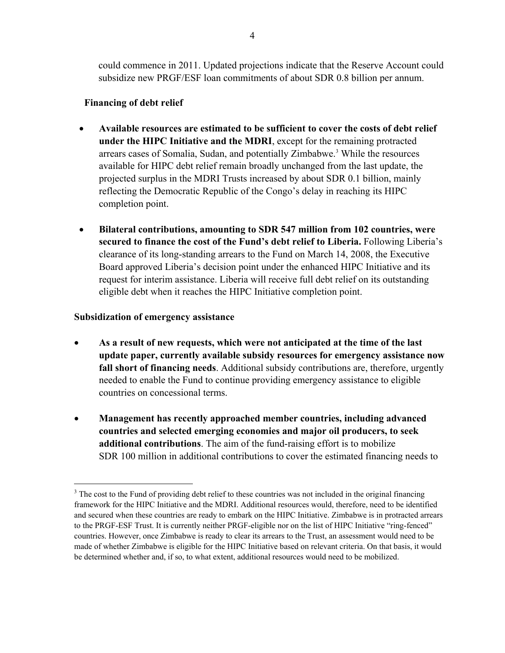could commence in 2011. Updated projections indicate that the Reserve Account could subsidize new PRGF/ESF loan commitments of about SDR 0.8 billion per annum.

# **Financing of debt relief**

- **Available resources are estimated to be sufficient to cover the costs of debt relief under the HIPC Initiative and the MDRI**, except for the remaining protracted arrears cases of Somalia, Sudan, and potentially Zimbabwe.3 While the resources available for HIPC debt relief remain broadly unchanged from the last update, the projected surplus in the MDRI Trusts increased by about SDR 0.1 billion, mainly reflecting the Democratic Republic of the Congo's delay in reaching its HIPC completion point.
- **Bilateral contributions, amounting to SDR 547 million from 102 countries, were secured to finance the cost of the Fund's debt relief to Liberia.** Following Liberia's clearance of its long-standing arrears to the Fund on March 14, 2008, the Executive Board approved Liberia's decision point under the enhanced HIPC Initiative and its request for interim assistance. Liberia will receive full debt relief on its outstanding eligible debt when it reaches the HIPC Initiative completion point.

### **Subsidization of emergency assistance**

- **As a result of new requests, which were not anticipated at the time of the last update paper, currently available subsidy resources for emergency assistance now fall short of financing needs**. Additional subsidy contributions are, therefore, urgently needed to enable the Fund to continue providing emergency assistance to eligible countries on concessional terms.
- **Management has recently approached member countries, including advanced countries and selected emerging economies and major oil producers, to seek additional contributions**. The aim of the fund-raising effort is to mobilize SDR 100 million in additional contributions to cover the estimated financing needs to

<sup>&</sup>lt;sup>3</sup> The cost to the Fund of providing debt relief to these countries was not included in the original financing framework for the HIPC Initiative and the MDRI. Additional resources would, therefore, need to be identified and secured when these countries are ready to embark on the HIPC Initiative. Zimbabwe is in protracted arrears to the PRGF-ESF Trust. It is currently neither PRGF-eligible nor on the list of HIPC Initiative "ring-fenced" countries. However, once Zimbabwe is ready to clear its arrears to the Trust, an assessment would need to be made of whether Zimbabwe is eligible for the HIPC Initiative based on relevant criteria. On that basis, it would be determined whether and, if so, to what extent, additional resources would need to be mobilized.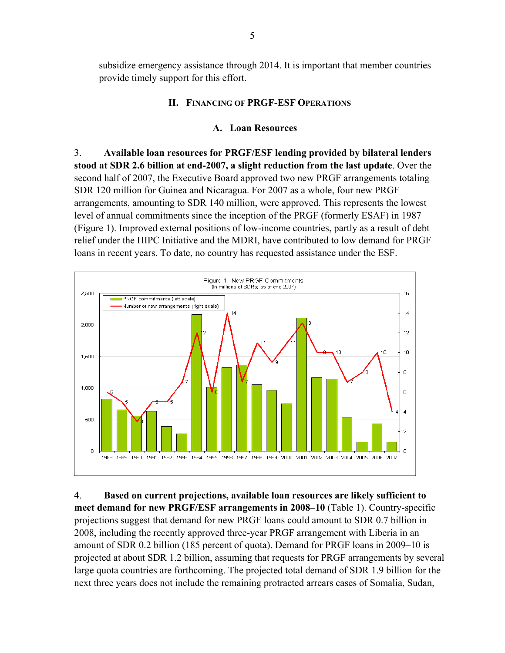subsidize emergency assistance through 2014. It is important that member countries provide timely support for this effort.

# **II. FINANCING OF PRGF-ESF OPERATIONS**

# **A. Loan Resources**

3. **Available loan resources for PRGF/ESF lending provided by bilateral lenders stood at SDR 2.6 billion at end-2007, a slight reduction from the last update**. Over the second half of 2007, the Executive Board approved two new PRGF arrangements totaling SDR 120 million for Guinea and Nicaragua. For 2007 as a whole, four new PRGF arrangements, amounting to SDR 140 million, were approved. This represents the lowest level of annual commitments since the inception of the PRGF (formerly ESAF) in 1987 (Figure 1). Improved external positions of low-income countries, partly as a result of debt relief under the HIPC Initiative and the MDRI, have contributed to low demand for PRGF loans in recent years. To date, no country has requested assistance under the ESF.



4. **Based on current projections, available loan resources are likely sufficient to meet demand for new PRGF/ESF arrangements in 2008–10** (Table 1). Country-specific projections suggest that demand for new PRGF loans could amount to SDR 0.7 billion in 2008, including the recently approved three-year PRGF arrangement with Liberia in an amount of SDR 0.2 billion (185 percent of quota). Demand for PRGF loans in 2009–10 is projected at about SDR 1.2 billion, assuming that requests for PRGF arrangements by several large quota countries are forthcoming. The projected total demand of SDR 1.9 billion for the next three years does not include the remaining protracted arrears cases of Somalia, Sudan,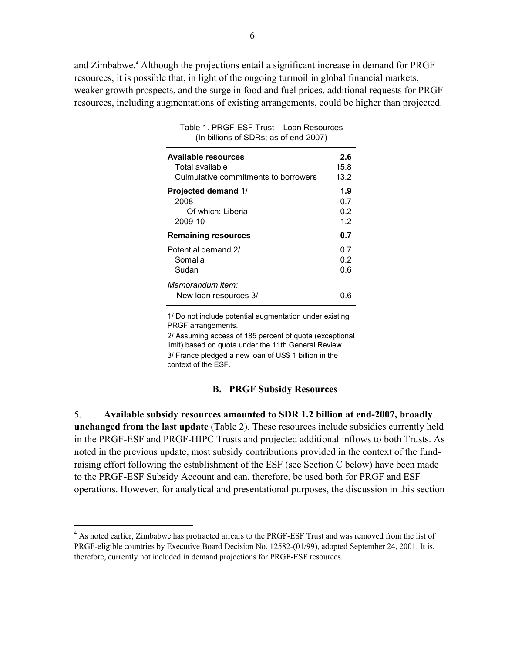and Zimbabwe.<sup>4</sup> Although the projections entail a significant increase in demand for PRGF resources, it is possible that, in light of the ongoing turmoil in global financial markets, weaker growth prospects, and the surge in food and fuel prices, additional requests for PRGF resources, including augmentations of existing arrangements, could be higher than projected.

| $\frac{1}{2}$ binone of optic, as of one 2001/ |      |
|------------------------------------------------|------|
| <b>Available resources</b>                     | 2.6  |
| Total available                                | 15.8 |
| Culmulative commitments to borrowers           | 13.2 |
| <b>Projected demand 1/</b>                     | 1.9  |
| 2008                                           | 0.7  |
| Of which: Liberia                              | 0.2  |
| 2009-10                                        | 1.2  |
| <b>Remaining resources</b>                     | 0.7  |
| Potential demand 2/                            | 0.7  |
| Somalia                                        | 0.2  |
| Sudan                                          | 0.6  |
| Memorandum item:<br>New loan resources 3/      | ი რ  |

Table 1. PRGF-ESF Trust – Loan Resources (In billions of SDRs; as of end-2007)

1/ Do not include potential augmentation under existing PRGF arrangements.

3/ France pledged a new loan of US\$ 1 billion in the context of the ESF. 2/ Assuming access of 185 percent of quota (exceptional limit) based on quota under the 11th General Review.

#### **B. PRGF Subsidy Resources**

5. **Available subsidy resources amounted to SDR 1.2 billion at end-2007, broadly unchanged from the last update** (Table 2). These resources include subsidies currently held in the PRGF-ESF and PRGF-HIPC Trusts and projected additional inflows to both Trusts. As noted in the previous update, most subsidy contributions provided in the context of the fundraising effort following the establishment of the ESF (see Section C below) have been made to the PRGF-ESF Subsidy Account and can, therefore, be used both for PRGF and ESF operations. However, for analytical and presentational purposes, the discussion in this section

<sup>&</sup>lt;sup>4</sup> As noted earlier, Zimbabwe has protracted arrears to the PRGF-ESF Trust and was removed from the list of PRGF-eligible countries by Executive Board Decision No. 12582-(01/99), adopted September 24, 2001. It is, therefore, currently not included in demand projections for PRGF-ESF resources.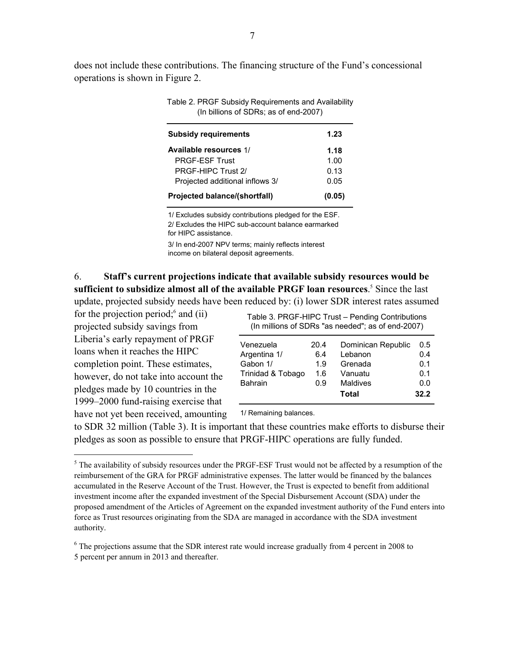does not include these contributions. The financing structure of the Fund's concessional operations is shown in Figure 2.

| (In billions of SDRs; as of end-2007)   |      |  |
|-----------------------------------------|------|--|
| <b>Subsidy requirements</b>             | 1.23 |  |
| Available resources 1/                  | 1.18 |  |
| <b>PRGF-FSF Trust</b>                   | 1.00 |  |
| PRGF-HIPC Trust 2/                      | 0.13 |  |
| Projected additional inflows 3/         | 0.05 |  |
| Projected balance/(shortfall)<br>(0.05) |      |  |

Table 2. PRGF Subsidy Requirements and Availability

3/ In end-2007 NPV terms; mainly reflects interest income on bilateral deposit agreements. 2/ Excludes the HIPC sub-account balance earmarked for HIPC assistance. 1/ Excludes subsidy contributions pledged for the ESF.

6. **Staff's current projections indicate that available subsidy resources would be**  sufficient to subsidize almost all of the available PRGF loan resources.<sup>5</sup> Since the last update, projected subsidy needs have been reduced by: (i) lower SDR interest rates assumed

for the projection period; $6$  and (ii) projected subsidy savings from Liberia's early repayment of PRGF loans when it reaches the HIPC completion point. These estimates, however, do not take into account the pledges made by 10 countries in the 1999–2000 fund-raising exercise that have not yet been received, amounting

 $\overline{a}$ 

Table 3. PRGF-HIPC Trust – Pending Contributions (In millions of SDRs "as needed"; as of end-2007)

| Venezuela<br>Argentina 1/<br>Gabon 1/ | 20.4<br>6.4<br>1.9 | Dominican Republic<br>Lebanon<br>Grenada | 0.5<br>0.4<br>0.1 |
|---------------------------------------|--------------------|------------------------------------------|-------------------|
| Trinidad & Tobago                     | 1.6                | Vanuatu                                  | 0.1               |
| <b>Bahrain</b>                        | 0.9                | <b>Maldives</b><br>Total                 | 0.0<br>32.2       |
|                                       |                    |                                          |                   |

1/ Remaining balances.

to SDR 32 million (Table 3). It is important that these countries make efforts to disburse their pledges as soon as possible to ensure that PRGF-HIPC operations are fully funded.

<sup>6</sup> The projections assume that the SDR interest rate would increase gradually from 4 percent in 2008 to 5 percent per annum in 2013 and thereafter.

 $<sup>5</sup>$  The availability of subsidy resources under the PRGF-ESF Trust would not be affected by a resumption of the</sup> reimbursement of the GRA for PRGF administrative expenses. The latter would be financed by the balances accumulated in the Reserve Account of the Trust. However, the Trust is expected to benefit from additional investment income after the expanded investment of the Special Disbursement Account (SDA) under the proposed amendment of the Articles of Agreement on the expanded investment authority of the Fund enters into force as Trust resources originating from the SDA are managed in accordance with the SDA investment authority.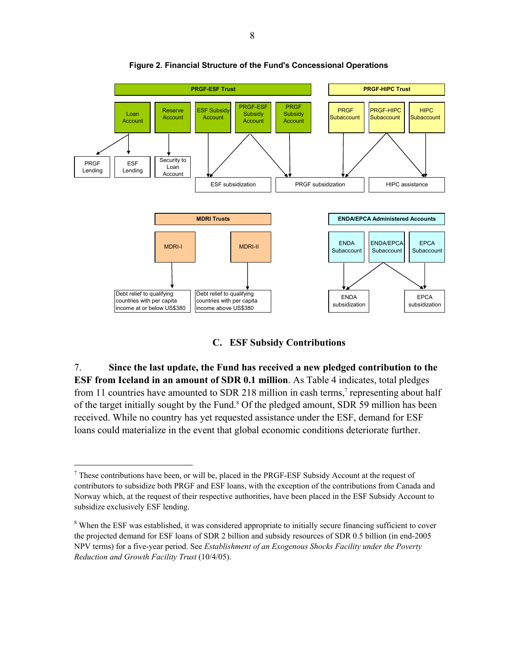

**Figure 2. Financial Structure of the Fund's Concessional Operations** 

**C. ESF Subsidy Contributions** 

7. **Since the last update, the Fund has received a new pledged contribution to the ESF from Iceland in an amount of SDR 0.1 million**. As Table 4 indicates, total pledges from 11 countries have amounted to SDR 218 million in cash terms,<sup>7</sup> representing about half of the target initially sought by the Fund.<sup>8</sup> Of the pledged amount, SDR 59 million has been received. While no country has yet requested assistance under the ESF, demand for ESF loans could materialize in the event that global economic conditions deteriorate further.

 $<sup>7</sup>$  These contributions have been, or will be, placed in the PRGF-ESF Subsidy Account at the request of</sup> contributors to subsidize both PRGF and ESF loans, with the exception of the contributions from Canada and Norway which, at the request of their respective authorities, have been placed in the ESF Subsidy Account to subsidize exclusively ESF lending.

<sup>&</sup>lt;sup>8</sup> When the ESF was established, it was considered appropriate to initially secure financing sufficient to cover the projected demand for ESF loans of SDR 2 billion and subsidy resources of SDR 0.5 billion (in end-2005 NPV terms) for a five-year period. See *Establishment of an Exogenous Shocks Facility under the Poverty Reduction and Growth Facility Trust* (10/4/05).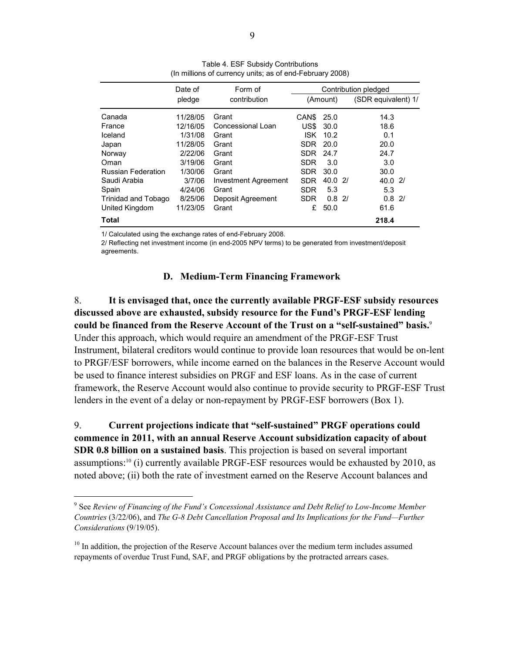|                            | Date of  | Form of              | Contribution pledged |       |    |                     |  |
|----------------------------|----------|----------------------|----------------------|-------|----|---------------------|--|
|                            | pledge   | contribution         | (Amount)             |       |    | (SDR equivalent) 1/ |  |
| Canada                     | 11/28/05 | Grant                | CAN <sub>S</sub>     | 25.0  |    | 14.3                |  |
| France                     | 12/16/05 | Concessional Loan    | US\$                 | 30.0  |    | 18.6                |  |
| Iceland                    | 1/31/08  | Grant                | ISK                  | 10.2  |    | 0.1                 |  |
| Japan                      | 11/28/05 | Grant                | <b>SDR</b>           | 20.0  |    | 20.0                |  |
| Norway                     | 2/22/06  | Grant                | SDR.                 | 24.7  |    | 24.7                |  |
| Oman                       | 3/19/06  | Grant                | <b>SDR</b>           | 3.0   |    | 3.0                 |  |
| <b>Russian Federation</b>  | 1/30/06  | Grant                | SDR                  | 30.0  |    | 30.0                |  |
| Saudi Arabia               | 3/7/06   | Investment Agreement | <b>SDR</b>           | 40.02 |    | 40.021              |  |
| Spain                      | 4/24/06  | Grant                | <b>SDR</b>           | 5.3   |    | 5.3                 |  |
| <b>Trinidad and Tobago</b> | 8/25/06  | Deposit Agreement    | <b>SDR</b>           | 0.8   | 2/ | 0.8<br>21           |  |
| United Kingdom             | 11/23/05 | Grant                | £                    | 50.0  |    | 61.6                |  |
| Total                      |          |                      |                      |       |    | 218.4               |  |

Table 4. ESF Subsidy Contributions (In millions of currency units; as of end-February 2008)

1/ Calculated using the exchange rates of end-February 2008.

 $\overline{a}$ 

2/ Reflecting net investment income (in end-2005 NPV terms) to be generated from investment/deposit agreements.

### **D. Medium-Term Financing Framework**

8. **It is envisaged that, once the currently available PRGF-ESF subsidy resources discussed above are exhausted, subsidy resource for the Fund's PRGF-ESF lending could be financed from the Reserve Account of the Trust on a "self-sustained" basis.**<sup>9</sup> Under this approach, which would require an amendment of the PRGF-ESF Trust Instrument, bilateral creditors would continue to provide loan resources that would be on-lent to PRGF/ESF borrowers, while income earned on the balances in the Reserve Account would be used to finance interest subsidies on PRGF and ESF loans. As in the case of current framework, the Reserve Account would also continue to provide security to PRGF-ESF Trust lenders in the event of a delay or non-repayment by PRGF-ESF borrowers (Box 1).

9. **Current projections indicate that "self-sustained" PRGF operations could commence in 2011, with an annual Reserve Account subsidization capacity of about SDR 0.8 billion on a sustained basis**. This projection is based on several important assumptions:10 (i) currently available PRGF-ESF resources would be exhausted by 2010, as noted above; (ii) both the rate of investment earned on the Reserve Account balances and

<sup>9</sup> See *Review of Financing of the Fund's Concessional Assistance and Debt Relief to Low-Income Member Countries* (3/22/06), and *The G-8 Debt Cancellation Proposal and Its Implications for the Fund—Further Considerations* (9/19/05).

 $10$  In addition, the projection of the Reserve Account balances over the medium term includes assumed repayments of overdue Trust Fund, SAF, and PRGF obligations by the protracted arrears cases.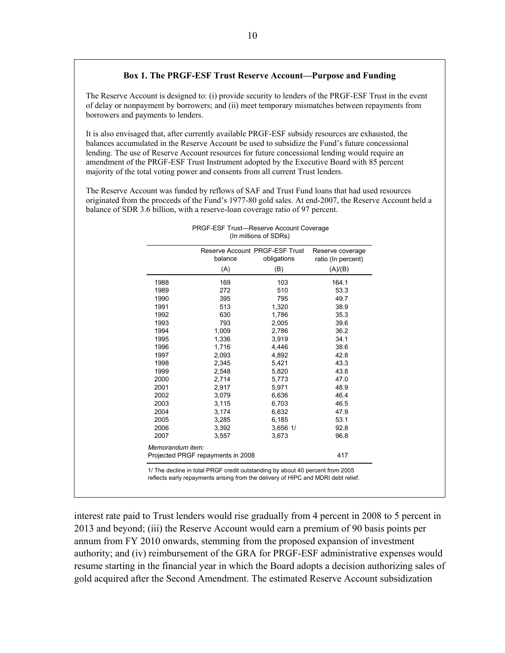#### **Box 1. The PRGF-ESF Trust Reserve Account—Purpose and Funding**

The Reserve Account is designed to: (i) provide security to lenders of the PRGF-ESF Trust in the event of delay or nonpayment by borrowers; and (ii) meet temporary mismatches between repayments from borrowers and payments to lenders.

It is also envisaged that, after currently available PRGF-ESF subsidy resources are exhausted, the balances accumulated in the Reserve Account be used to subsidize the Fund's future concessional lending. The use of Reserve Account resources for future concessional lending would require an amendment of the PRGF-ESF Trust Instrument adopted by the Executive Board with 85 percent majority of the total voting power and consents from all current Trust lenders.

The Reserve Account was funded by reflows of SAF and Trust Fund loans that had used resources originated from the proceeds of the Fund's 1977-80 gold sales. At end-2007, the Reserve Account held a balance of SDR 3.6 billion, with a reserve-loan coverage ratio of 97 percent.

| 1988<br>1989<br>1990 | (A)<br>169 | (B)          | (A)/(B) |
|----------------------|------------|--------------|---------|
|                      |            |              |         |
|                      |            | 103          | 164.1   |
|                      | 272        | 510          | 53.3    |
|                      | 395        | 795          | 49.7    |
| 1991                 | 513        | 1,320        | 38.9    |
| 1992                 | 630        | 1,786        | 35.3    |
| 1993                 | 793        | 2,005        | 39.6    |
| 1994                 | 1,009      | 2,786        | 36.2    |
| 1995                 | 1,336      | 3,919        | 34.1    |
| 1996                 | 1,716      | 4,446        | 38.6    |
| 1997                 | 2,093      | 4,892        | 42.8    |
| 1998                 | 2,345      | 5,421        | 43.3    |
| 1999                 | 2,548      | 5,820        | 43.8    |
| 2000                 | 2,714      | 5,773        | 47.0    |
| 2001                 | 2,917      | 5,971        | 48.9    |
| 2002                 | 3,079      | 6,636        | 46.4    |
| 2003                 | 3,115      | 6,703        | 46.5    |
| 2004                 | 3,174      | 6,632        | 47.9    |
| 2005                 | 3,285      | 6,185        | 53.1    |
| 2006                 | 3,392      | $3,656$ $1/$ | 92.8    |
| 2007                 | 3,557      | 3,673        | 96.8    |

 PRGF-ESF Trust—Reserve Account Coverage (In millions of SDRs)

1/ The decline in total PRGF credit outstanding by about 40 percent from 2005 reflects early repayments arising from the delivery of HIPC and MDRI debt relief.

interest rate paid to Trust lenders would rise gradually from 4 percent in 2008 to 5 percent in 2013 and beyond; (iii) the Reserve Account would earn a premium of 90 basis points per annum from FY 2010 onwards, stemming from the proposed expansion of investment authority; and (iv) reimbursement of the GRA for PRGF-ESF administrative expenses would resume starting in the financial year in which the Board adopts a decision authorizing sales of gold acquired after the Second Amendment. The estimated Reserve Account subsidization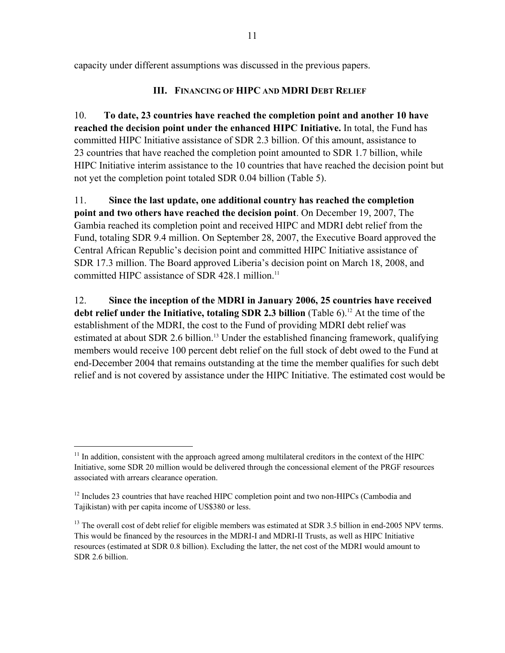capacity under different assumptions was discussed in the previous papers.

# **III. FINANCING OF HIPC AND MDRI DEBT RELIEF**

10. **To date, 23 countries have reached the completion point and another 10 have reached the decision point under the enhanced HIPC Initiative.** In total, the Fund has committed HIPC Initiative assistance of SDR 2.3 billion. Of this amount, assistance to 23 countries that have reached the completion point amounted to SDR 1.7 billion, while HIPC Initiative interim assistance to the 10 countries that have reached the decision point but not yet the completion point totaled SDR 0.04 billion (Table 5).

11. **Since the last update, one additional country has reached the completion point and two others have reached the decision point**. On December 19, 2007, The Gambia reached its completion point and received HIPC and MDRI debt relief from the Fund, totaling SDR 9.4 million. On September 28, 2007, the Executive Board approved the Central African Republic's decision point and committed HIPC Initiative assistance of SDR 17.3 million. The Board approved Liberia's decision point on March 18, 2008, and committed HIPC assistance of SDR 428.1 million.<sup>11</sup>

12. **Since the inception of the MDRI in January 2006, 25 countries have received debt relief under the Initiative, totaling SDR 2.3 billion** (Table 6).<sup>12</sup> At the time of the establishment of the MDRI, the cost to the Fund of providing MDRI debt relief was estimated at about SDR 2.6 billion.<sup>13</sup> Under the established financing framework, qualifying members would receive 100 percent debt relief on the full stock of debt owed to the Fund at end-December 2004 that remains outstanding at the time the member qualifies for such debt relief and is not covered by assistance under the HIPC Initiative. The estimated cost would be

 $11$  In addition, consistent with the approach agreed among multilateral creditors in the context of the HIPC Initiative, some SDR 20 million would be delivered through the concessional element of the PRGF resources associated with arrears clearance operation.

<sup>&</sup>lt;sup>12</sup> Includes 23 countries that have reached HIPC completion point and two non-HIPCs (Cambodia and Tajikistan) with per capita income of US\$380 or less.

<sup>&</sup>lt;sup>13</sup> The overall cost of debt relief for eligible members was estimated at SDR 3.5 billion in end-2005 NPV terms. This would be financed by the resources in the MDRI-I and MDRI-II Trusts, as well as HIPC Initiative resources (estimated at SDR 0.8 billion). Excluding the latter, the net cost of the MDRI would amount to SDR 2.6 billion.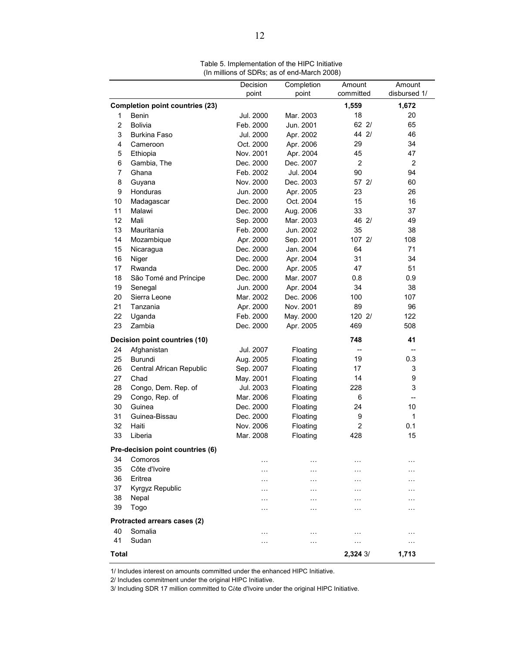|                |                                        |                   |                     |                          | Amount                   |
|----------------|----------------------------------------|-------------------|---------------------|--------------------------|--------------------------|
|                |                                        | Decision<br>point | Completion<br>point | Amount<br>committed      | disbursed 1/             |
|                |                                        |                   |                     |                          |                          |
|                | <b>Completion point countries (23)</b> |                   |                     | 1,559                    | 1,672                    |
| 1              | Benin                                  | Jul. 2000         | Mar. 2003           | 18                       | 20                       |
| $\overline{c}$ | <b>Bolivia</b>                         | Feb. 2000         | Jun. 2001           | 62 2/<br>44 2/           | 65                       |
| 3              | <b>Burkina Faso</b>                    | Jul. 2000         | Apr. 2002           |                          | 46                       |
| 4              | Cameroon                               | Oct. 2000         | Apr. 2006           | 29                       | 34                       |
| 5              | Ethiopia                               | Nov. 2001         | Apr. 2004           | 45                       | 47                       |
| 6              | Gambia, The                            | Dec. 2000         | Dec. 2007           | $\overline{c}$           | $\overline{c}$           |
| 7              | Ghana                                  | Feb. 2002         | Jul. 2004           | 90                       | 94                       |
| 8              | Guyana                                 | Nov. 2000         | Dec. 2003           | 57 2/                    | 60                       |
| 9              | Honduras                               | Jun. 2000         | Apr. 2005           | 23                       | 26                       |
| 10             | Madagascar                             | Dec. 2000         | Oct. 2004           | 15                       | 16                       |
| 11             | Malawi                                 | Dec. 2000         | Aug. 2006           | 33                       | 37                       |
| 12             | Mali                                   | Sep. 2000         | Mar. 2003           | 46 2/                    | 49                       |
| 13             | Mauritania                             | Feb. 2000         | Jun. 2002           | 35                       | 38                       |
| 14             | Mozambique                             | Apr. 2000         | Sep. 2001           | 107 2/                   | 108                      |
| 15             | Nicaragua                              | Dec. 2000         | Jan. 2004           | 64                       | 71                       |
| 16             | Niger                                  | Dec. 2000         | Apr. 2004           | 31                       | 34                       |
| 17             | Rwanda                                 | Dec. 2000         | Apr. 2005           | 47                       | 51                       |
| 18             | São Tomé and Príncipe                  | Dec. 2000         | Mar. 2007           | 0.8                      | 0.9                      |
| 19             | Senegal                                | Jun. 2000         | Apr. 2004           | 34                       | 38                       |
| 20             | Sierra Leone                           | Mar. 2002         | Dec. 2006           | 100                      | 107                      |
| 21             | Tanzania                               | Apr. 2000         | Nov. 2001           | 89                       | 96                       |
| 22             | Uganda                                 | Feb. 2000         | May. 2000           | 120 2/                   | 122                      |
| 23             | Zambia                                 | Dec. 2000         | Apr. 2005           | 469                      | 508                      |
|                | Decision point countries (10)          |                   |                     | 748                      | 41                       |
| 24             | Afghanistan                            | Jul. 2007         | Floating            | $\overline{\phantom{a}}$ | --                       |
| 25             | <b>Burundi</b>                         | Aug. 2005         | Floating            | 19                       | 0.3                      |
| 26             | Central African Republic               | Sep. 2007         | Floating            | 17                       | 3                        |
| 27             | Chad                                   | May. 2001         | Floating            | 14                       | 9                        |
| 28             | Congo, Dem. Rep. of                    | Jul. 2003         | Floating            | 228                      | 3                        |
| 29             | Congo, Rep. of                         | Mar. 2006         | Floating            | 6                        | $\overline{\phantom{a}}$ |
| 30             | Guinea                                 | Dec. 2000         | Floating            | 24                       | 10                       |
| 31             | Guinea-Bissau                          | Dec. 2000         | Floating            | 9                        | 1                        |
| 32             | Haiti                                  | Nov. 2006         | Floating            | $\overline{2}$           | 0.1                      |
| 33             | Liberia                                | Mar. 2008         | Floating            | 428                      | 15                       |
|                | Pre-decision point countries (6)       |                   |                     |                          |                          |
| 34             | Comoros                                | .                 | .                   | $\ddotsc$                | $\cdots$                 |
| 35             | Côte d'Ivoire                          | .                 | .                   | $\cdots$                 | .                        |
| 36             | Eritrea                                |                   |                     |                          |                          |
| 37             | Kyrgyz Republic                        | $\sim$            | $\cdots$            | $\ddotsc$                | $\ddotsc$                |
| 38             | Nepal                                  | .                 | .                   | $\ddotsc$                | .                        |
| 39             | Togo                                   |                   |                     | $\ddotsc$                |                          |
|                |                                        | .                 | .                   | $\ddotsc$                | .                        |
|                | Protracted arrears cases (2)           |                   |                     |                          |                          |
| 40             | Somalia                                | $\ddotsc$         | .                   | $\ddotsc$                | .                        |
| 41             | Sudan                                  | $\cdots$          | $\cdots$            | $\cdots$                 | $\sim$                   |
| Total          |                                        |                   |                     | 2,324 3/                 | 1,713                    |

Table 5. Implementation of the HIPC Initiative (In millions of SDRs; as of end-March 2008)

1/ Includes interest on amounts committed under the enhanced HIPC Initiative.

2/ Includes commitment under the original HIPC Initiative.

3/ Including SDR 17 million committed to Côte d'Ivoire under the original HIPC Initiative.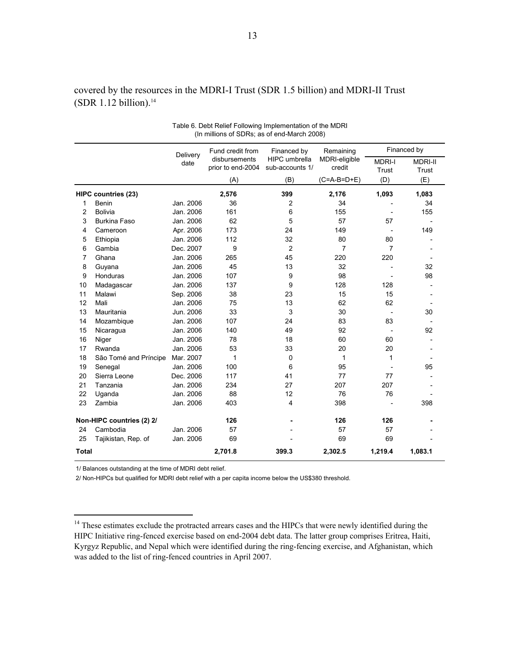| covered by the resources in the MDRI-I Trust (SDR 1.5 billion) and MDRI-II Trust |  |
|----------------------------------------------------------------------------------|--|
| (SDR 1.12 billion). <sup>14</sup>                                                |  |

|                |                            | Delivery  | Fund credit from<br>disbursements | Financed by<br>HIPC umbrella | Remaining<br>MDRI-eligible |                        | Financed by             |
|----------------|----------------------------|-----------|-----------------------------------|------------------------------|----------------------------|------------------------|-------------------------|
|                |                            | date      | prior to end-2004                 | sub-accounts 1/              | credit                     | <b>MDRI-I</b><br>Trust | <b>MDRI-II</b><br>Trust |
|                |                            |           |                                   | (B)                          | $(C=A-B=D+E)$              | (D)                    | (E)                     |
|                |                            |           | (A)                               |                              |                            |                        |                         |
|                | <b>HIPC countries (23)</b> |           | 2,576                             | 399                          | 2,176                      | 1,093                  | 1,083                   |
| 1              | Benin                      | Jan. 2006 | 36                                | 2                            | 34                         |                        | 34                      |
| $\overline{2}$ | Bolivia                    | Jan. 2006 | 161                               | 6                            | 155                        |                        | 155                     |
| 3              | <b>Burkina Faso</b>        | Jan. 2006 | 62                                | 5                            | 57                         | 57                     |                         |
| 4              | Cameroon                   | Apr. 2006 | 173                               | 24                           | 149                        |                        | 149                     |
| 5              | Ethiopia                   | Jan. 2006 | 112                               | 32                           | 80                         | 80                     |                         |
| 6              | Gambia                     | Dec. 2007 | 9                                 | $\overline{c}$               | $\overline{7}$             | 7                      |                         |
| 7              | Ghana                      | Jan. 2006 | 265                               | 45                           | 220                        | 220                    |                         |
| 8              | Guyana                     | Jan. 2006 | 45                                | 13                           | 32                         |                        | 32                      |
| 9              | Honduras                   | Jan. 2006 | 107                               | 9                            | 98                         |                        | 98                      |
| 10             | Madagascar                 | Jan. 2006 | 137                               | 9                            | 128                        | 128                    |                         |
| 11             | Malawi                     | Sep. 2006 | 38                                | 23                           | 15                         | 15                     |                         |
| 12             | Mali                       | Jan. 2006 | 75                                | 13                           | 62                         | 62                     |                         |
| 13             | Mauritania                 | Jun. 2006 | 33                                | 3                            | 30                         | $\blacksquare$         | 30                      |
| 14             | Mozambique                 | Jan. 2006 | 107                               | 24                           | 83                         | 83                     |                         |
| 15             | Nicaragua                  | Jan. 2006 | 140                               | 49                           | 92                         |                        | 92                      |
| 16             | Niger                      | Jan. 2006 | 78                                | 18                           | 60                         | 60                     |                         |
| 17             | Rwanda                     | Jan. 2006 | 53                                | 33                           | 20                         | 20                     |                         |
| 18             | São Tomé and Príncipe      | Mar. 2007 | $\mathbf 1$                       | 0                            | 1                          | 1                      |                         |
| 19             | Senegal                    | Jan. 2006 | 100                               | 6                            | 95                         |                        | 95                      |
| 20             | Sierra Leone               | Dec. 2006 | 117                               | 41                           | 77                         | 77                     |                         |
| 21             | Tanzania                   | Jan. 2006 | 234                               | 27                           | 207                        | 207                    |                         |
| 22             | Uganda                     | Jan. 2006 | 88                                | 12                           | 76                         | 76                     |                         |
| 23             | Zambia                     | Jan. 2006 | 403                               | 4                            | 398                        |                        | 398                     |
|                | Non-HIPC countries (2) 2/  |           | 126                               |                              | 126                        | 126                    |                         |
| 24             | Cambodia                   | Jan. 2006 | 57                                |                              | 57                         | 57                     |                         |
| 25             | Tajikistan, Rep. of        | Jan. 2006 | 69                                |                              | 69                         | 69                     |                         |
| <b>Total</b>   |                            |           | 2,701.8                           | 399.3                        | 2,302.5                    | 1,219.4                | 1,083.1                 |

| Table 6. Debt Relief Following Implementation of the MDRI |  |
|-----------------------------------------------------------|--|
| (In millions of SDRs; as of end-March 2008)               |  |

1/ Balances outstanding at the time of MDRI debt relief.

1

2/ Non-HIPCs but qualified for MDRI debt relief with a per capita income below the US\$380 threshold.

<sup>&</sup>lt;sup>14</sup> These estimates exclude the protracted arrears cases and the HIPCs that were newly identified during the HIPC Initiative ring-fenced exercise based on end-2004 debt data. The latter group comprises Eritrea, Haiti, Kyrgyz Republic, and Nepal which were identified during the ring-fencing exercise, and Afghanistan, which was added to the list of ring-fenced countries in April 2007.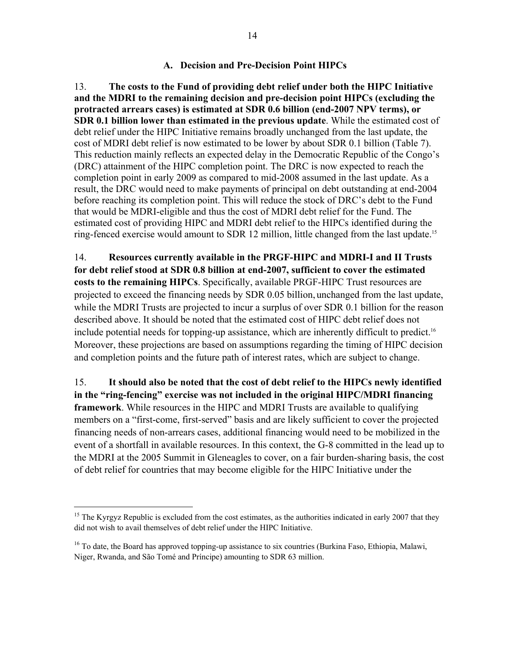#### **A. Decision and Pre-Decision Point HIPCs**

13. **The costs to the Fund of providing debt relief under both the HIPC Initiative and the MDRI to the remaining decision and pre-decision point HIPCs (excluding the protracted arrears cases) is estimated at SDR 0.6 billion (end-2007 NPV terms), or SDR 0.1 billion lower than estimated in the previous update**. While the estimated cost of debt relief under the HIPC Initiative remains broadly unchanged from the last update, the cost of MDRI debt relief is now estimated to be lower by about SDR 0.1 billion (Table 7). This reduction mainly reflects an expected delay in the Democratic Republic of the Congo's (DRC) attainment of the HIPC completion point. The DRC is now expected to reach the completion point in early 2009 as compared to mid-2008 assumed in the last update. As a result, the DRC would need to make payments of principal on debt outstanding at end-2004 before reaching its completion point. This will reduce the stock of DRC's debt to the Fund that would be MDRI-eligible and thus the cost of MDRI debt relief for the Fund. The estimated cost of providing HIPC and MDRI debt relief to the HIPCs identified during the ring-fenced exercise would amount to SDR 12 million, little changed from the last update.<sup>15</sup>

14. **Resources currently available in the PRGF-HIPC and MDRI-I and II Trusts for debt relief stood at SDR 0.8 billion at end-2007, sufficient to cover the estimated costs to the remaining HIPCs**. Specifically, available PRGF-HIPC Trust resources are projected to exceed the financing needs by SDR 0.05 billion, unchanged from the last update, while the MDRI Trusts are projected to incur a surplus of over SDR 0.1 billion for the reason described above. It should be noted that the estimated cost of HIPC debt relief does not include potential needs for topping-up assistance, which are inherently difficult to predict.<sup>16</sup> Moreover, these projections are based on assumptions regarding the timing of HIPC decision and completion points and the future path of interest rates, which are subject to change.

15. **It should also be noted that the cost of debt relief to the HIPCs newly identified in the "ring-fencing" exercise was not included in the original HIPC/MDRI financing framework**. While resources in the HIPC and MDRI Trusts are available to qualifying members on a "first-come, first-served" basis and are likely sufficient to cover the projected financing needs of non-arrears cases, additional financing would need to be mobilized in the event of a shortfall in available resources. In this context, the G-8 committed in the lead up to the MDRI at the 2005 Summit in Gleneagles to cover, on a fair burden-sharing basis, the cost of debt relief for countries that may become eligible for the HIPC Initiative under the

1

<sup>&</sup>lt;sup>15</sup> The Kyrgyz Republic is excluded from the cost estimates, as the authorities indicated in early 2007 that they did not wish to avail themselves of debt relief under the HIPC Initiative.

<sup>&</sup>lt;sup>16</sup> To date, the Board has approved topping-up assistance to six countries (Burkina Faso, Ethiopia, Malawi, Niger, Rwanda, and São Tomé and Príncipe) amounting to SDR 63 million.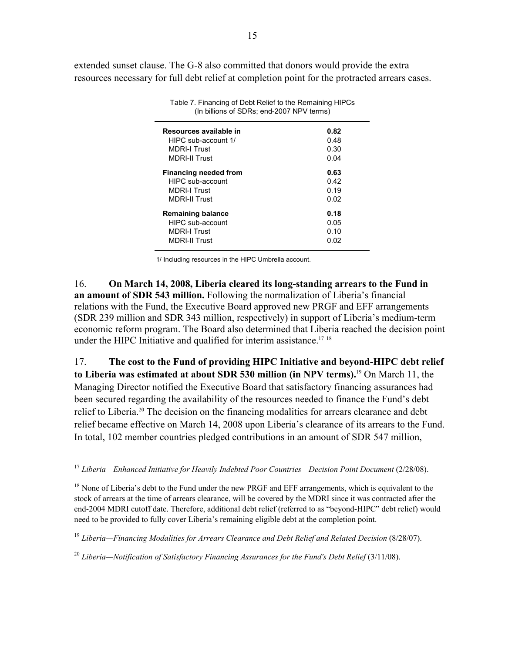extended sunset clause. The G-8 also committed that donors would provide the extra resources necessary for full debt relief at completion point for the protracted arrears cases.

| Resources available in       | 0.82 |
|------------------------------|------|
| HIPC sub-account 1/          | 0.48 |
| <b>MDRI-I Trust</b>          | 0.30 |
| <b>MDRI-II Trust</b>         | 0.04 |
| <b>Financing needed from</b> | 0.63 |
| HIPC sub-account             | 0.42 |
| <b>MDRI-I Trust</b>          | 0.19 |
| <b>MDRI-II Trust</b>         | 0.02 |
| Remaining balance            | 0.18 |
| HIPC sub-account             | 0.05 |
| <b>MDRI-I Trust</b>          | 0.10 |
| <b>MDRI-II Trust</b>         | 0.02 |
|                              |      |

Table 7. Financing of Debt Relief to the Remaining HIPCs (In billions of SDRs; end-2007 NPV terms)

1/ Including resources in the HIPC Umbrella account.

16. **On March 14, 2008, Liberia cleared its long-standing arrears to the Fund in an amount of SDR 543 million.** Following the normalization of Liberia's financial relations with the Fund, the Executive Board approved new PRGF and EFF arrangements (SDR 239 million and SDR 343 million, respectively) in support of Liberia's medium-term economic reform program. The Board also determined that Liberia reached the decision point under the HIPC Initiative and qualified for interim assistance.<sup>17</sup>  $18$ 

17. **The cost to the Fund of providing HIPC Initiative and beyond-HIPC debt relief to Liberia was estimated at about SDR 530 million (in NPV terms).**19 On March 11, the Managing Director notified the Executive Board that satisfactory financing assurances had been secured regarding the availability of the resources needed to finance the Fund's debt relief to Liberia.<sup>20</sup> The decision on the financing modalities for arrears clearance and debt relief became effective on March 14, 2008 upon Liberia's clearance of its arrears to the Fund. In total, 102 member countries pledged contributions in an amount of SDR 547 million,

<u>.</u>

<sup>17</sup> *Liberia—Enhanced Initiative for Heavily Indebted Poor Countries—Decision Point Document* (2/28/08).

<sup>&</sup>lt;sup>18</sup> None of Liberia's debt to the Fund under the new PRGF and EFF arrangements, which is equivalent to the stock of arrears at the time of arrears clearance, will be covered by the MDRI since it was contracted after the end-2004 MDRI cutoff date. Therefore, additional debt relief (referred to as "beyond-HIPC" debt relief) would need to be provided to fully cover Liberia's remaining eligible debt at the completion point.

<sup>19</sup> *Liberia—Financing Modalities for Arrears Clearance and Debt Relief and Related Decision* (8/28/07).

<sup>&</sup>lt;sup>20</sup> Liberia—Notification of Satisfactory Financing Assurances for the Fund's Debt Relief (3/11/08).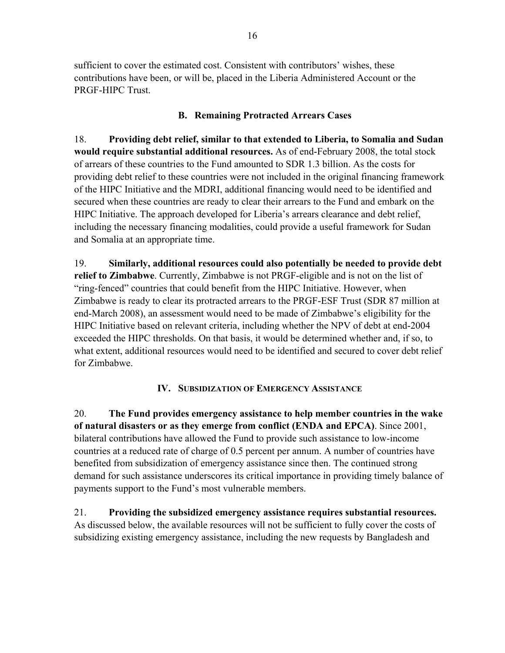sufficient to cover the estimated cost. Consistent with contributors' wishes, these contributions have been, or will be, placed in the Liberia Administered Account or the PRGF-HIPC Trust.

# **B. Remaining Protracted Arrears Cases**

18. **Providing debt relief, similar to that extended to Liberia, to Somalia and Sudan would require substantial additional resources.** As of end-February 2008, the total stock of arrears of these countries to the Fund amounted to SDR 1.3 billion. As the costs for providing debt relief to these countries were not included in the original financing framework of the HIPC Initiative and the MDRI, additional financing would need to be identified and secured when these countries are ready to clear their arrears to the Fund and embark on the HIPC Initiative. The approach developed for Liberia's arrears clearance and debt relief, including the necessary financing modalities, could provide a useful framework for Sudan and Somalia at an appropriate time.

19. **Similarly, additional resources could also potentially be needed to provide debt relief to Zimbabwe**. Currently, Zimbabwe is not PRGF-eligible and is not on the list of "ring-fenced" countries that could benefit from the HIPC Initiative. However, when Zimbabwe is ready to clear its protracted arrears to the PRGF-ESF Trust (SDR 87 million at end-March 2008), an assessment would need to be made of Zimbabwe's eligibility for the HIPC Initiative based on relevant criteria, including whether the NPV of debt at end-2004 exceeded the HIPC thresholds. On that basis, it would be determined whether and, if so, to what extent, additional resources would need to be identified and secured to cover debt relief for Zimbabwe.

# **IV. SUBSIDIZATION OF EMERGENCY ASSISTANCE**

20. **The Fund provides emergency assistance to help member countries in the wake of natural disasters or as they emerge from conflict (ENDA and EPCA)**. Since 2001, bilateral contributions have allowed the Fund to provide such assistance to low-income countries at a reduced rate of charge of 0.5 percent per annum. A number of countries have benefited from subsidization of emergency assistance since then. The continued strong demand for such assistance underscores its critical importance in providing timely balance of payments support to the Fund's most vulnerable members.

21. **Providing the subsidized emergency assistance requires substantial resources.**  As discussed below, the available resources will not be sufficient to fully cover the costs of subsidizing existing emergency assistance, including the new requests by Bangladesh and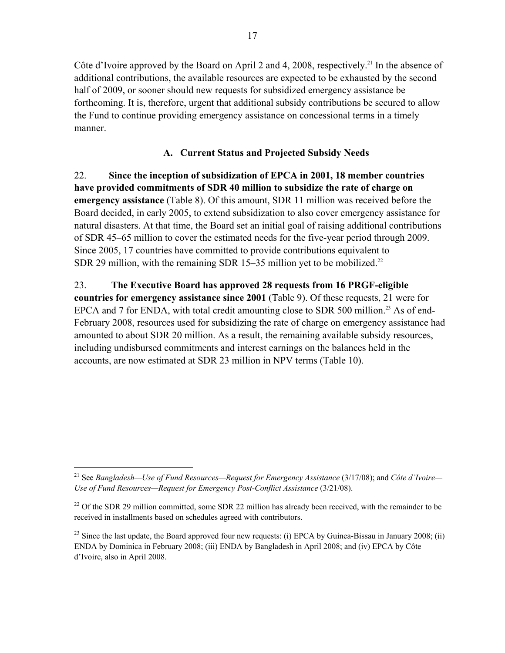Côte d'Ivoire approved by the Board on April 2 and 4, 2008, respectively.<sup>21</sup> In the absence of additional contributions, the available resources are expected to be exhausted by the second half of 2009, or sooner should new requests for subsidized emergency assistance be forthcoming. It is, therefore, urgent that additional subsidy contributions be secured to allow the Fund to continue providing emergency assistance on concessional terms in a timely manner.

# **A. Current Status and Projected Subsidy Needs**

22. **Since the inception of subsidization of EPCA in 2001, 18 member countries have provided commitments of SDR 40 million to subsidize the rate of charge on emergency assistance** (Table 8). Of this amount, SDR 11 million was received before the Board decided, in early 2005, to extend subsidization to also cover emergency assistance for natural disasters. At that time, the Board set an initial goal of raising additional contributions of SDR 45–65 million to cover the estimated needs for the five-year period through 2009. Since 2005, 17 countries have committed to provide contributions equivalent to SDR 29 million, with the remaining SDR 15–35 million yet to be mobilized.<sup>22</sup>

# 23. **The Executive Board has approved 28 requests from 16 PRGF-eligible**

**countries for emergency assistance since 2001** (Table 9). Of these requests, 21 were for EPCA and 7 for ENDA, with total credit amounting close to SDR 500 million.<sup>23</sup> As of end-February 2008, resources used for subsidizing the rate of charge on emergency assistance had amounted to about SDR 20 million. As a result, the remaining available subsidy resources, including undisbursed commitments and interest earnings on the balances held in the accounts, are now estimated at SDR 23 million in NPV terms (Table 10).

<sup>21</sup> See *Bangladesh—Use of Fund Resources—Request for Emergency Assistance* (3/17/08); and *Côte d'Ivoire— Use of Fund Resources—Request for Emergency Post-Conflict Assistance* (3/21/08).

 $22$  Of the SDR 29 million committed, some SDR 22 million has already been received, with the remainder to be received in installments based on schedules agreed with contributors.

<sup>&</sup>lt;sup>23</sup> Since the last update, the Board approved four new requests: (i) EPCA by Guinea-Bissau in January 2008; (ii) ENDA by Dominica in February 2008; (iii) ENDA by Bangladesh in April 2008; and (iv) EPCA by Côte d'Ivoire, also in April 2008.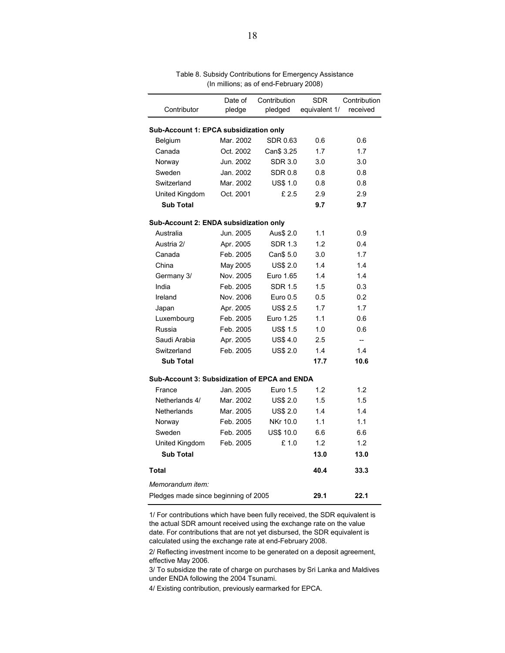|                                               | Date of                                | Contribution     | <b>SDR</b>    | Contribution |  |  |  |  |
|-----------------------------------------------|----------------------------------------|------------------|---------------|--------------|--|--|--|--|
| Contributor                                   | pledge                                 | pledged          | equivalent 1/ | received     |  |  |  |  |
|                                               | Sub-Account 1: EPCA subsidization only |                  |               |              |  |  |  |  |
| Belgium                                       | Mar. 2002                              | SDR 0.63         | 0.6           | 0.6          |  |  |  |  |
| Canada                                        | Oct. 2002                              | Can\$ 3.25       | 1.7           | 1.7          |  |  |  |  |
| Norway                                        | Jun. 2002                              | <b>SDR 3.0</b>   | 3.0           | 3.0          |  |  |  |  |
| Sweden                                        | Jan. 2002                              | <b>SDR 0.8</b>   | 0.8           | 0.8          |  |  |  |  |
| Switzerland                                   | Mar. 2002                              | <b>US\$ 1.0</b>  | 0.8           | 0.8          |  |  |  |  |
| United Kingdom                                | Oct. 2001                              | £2.5             | 2.9           | 2.9          |  |  |  |  |
| <b>Sub Total</b>                              |                                        |                  | 9.7           | 9.7          |  |  |  |  |
| Sub-Account 2: ENDA subsidization only        |                                        |                  |               |              |  |  |  |  |
| Australia                                     | Jun. 2005                              | Aus\$ 2.0        | 1.1           | 0.9          |  |  |  |  |
| Austria 2/                                    | Apr. 2005                              | <b>SDR 1.3</b>   | 1.2           | 0.4          |  |  |  |  |
| Canada                                        | Feb. 2005                              | Can\$ 5.0        | 3.0           | 1.7          |  |  |  |  |
| China                                         | May 2005                               | <b>US\$ 2.0</b>  | 1.4           | 1.4          |  |  |  |  |
| Germany 3/                                    | Nov. 2005                              | Euro 1.65        | 1.4           | 1.4          |  |  |  |  |
| India                                         | Feb. 2005                              | <b>SDR 1.5</b>   | 1.5           | 0.3          |  |  |  |  |
| Ireland                                       | Nov. 2006                              | Euro 0.5         | 0.5           | 0.2          |  |  |  |  |
| Japan                                         | Apr. 2005                              | <b>US\$ 2.5</b>  | 1.7           | 1.7          |  |  |  |  |
| Luxembourg                                    | Feb. 2005                              | Euro 1.25        | 1.1           | 0.6          |  |  |  |  |
| Russia                                        | Feb. 2005                              | <b>US\$ 1.5</b>  | 1.0           | 0.6          |  |  |  |  |
| Saudi Arabia                                  | Apr. 2005                              | <b>US\$4.0</b>   | 2.5           | Ξ.           |  |  |  |  |
| Switzerland                                   | Feb. 2005                              | <b>US\$ 2.0</b>  | 1.4           | 1.4          |  |  |  |  |
| <b>Sub Total</b>                              |                                        |                  | 17.7          | 10.6         |  |  |  |  |
| Sub-Account 3: Subsidization of EPCA and ENDA |                                        |                  |               |              |  |  |  |  |
| France                                        | Jan. 2005                              | Euro 1.5         | 1.2           | 1.2          |  |  |  |  |
| Netherlands 4/                                | Mar. 2002                              | <b>US\$ 2.0</b>  | 1.5           | 1.5          |  |  |  |  |
| Netherlands                                   | Mar. 2005                              | <b>US\$ 2.0</b>  | 1.4           | 1.4          |  |  |  |  |
| Norway                                        | Feb. 2005                              | NKr 10.0         | 1.1           | 1.1          |  |  |  |  |
| Sweden                                        | Feb. 2005                              | <b>US\$ 10.0</b> | 6.6           | 6.6          |  |  |  |  |
| United Kingdom                                | Feb. 2005                              | £ 1.0            | 1.2           | 1.2          |  |  |  |  |
| <b>Sub Total</b>                              |                                        |                  | 13.0          | 13.0         |  |  |  |  |
| Total                                         |                                        |                  | 40.4          | 33.3         |  |  |  |  |
| Memorandum item:                              |                                        |                  |               |              |  |  |  |  |
| Pledges made since beginning of 2005          |                                        |                  | 29.1          | 22.1         |  |  |  |  |
|                                               |                                        |                  |               |              |  |  |  |  |

(In millions; as of end-February 2008) Table 8. Subsidy Contributions for Emergency Assistance

1/ For contributions which have been fully received, the SDR equivalent is the actual SDR amount received using the exchange rate on the value date. For contributions that are not yet disbursed, the SDR equivalent is calculated using the exchange rate at end-February 2008.

2/ Reflecting investment income to be generated on a deposit agreement, effective May 2006.

3/ To subsidize the rate of charge on purchases by Sri Lanka and Maldives under ENDA following the 2004 Tsunami.

4/ Existing contribution, previously earmarked for EPCA.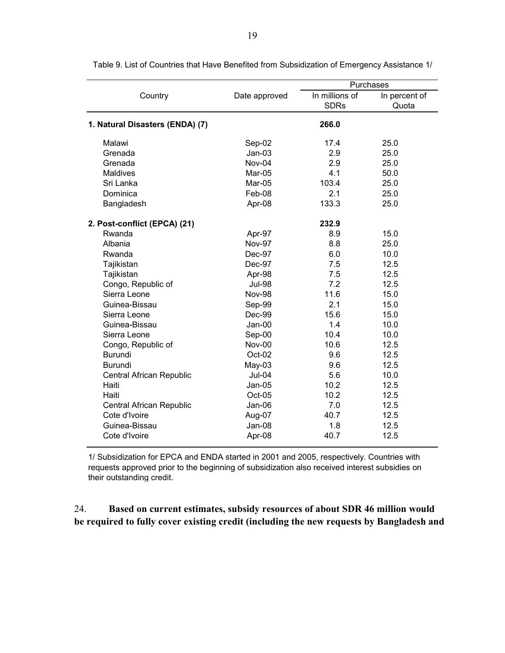|                                 |               | Purchases      |               |  |  |
|---------------------------------|---------------|----------------|---------------|--|--|
| Country                         | Date approved | In millions of | In percent of |  |  |
|                                 |               | <b>SDRs</b>    | Quota         |  |  |
| 1. Natural Disasters (ENDA) (7) |               | 266.0          |               |  |  |
| Malawi                          | Sep-02        | 17.4           | 25.0          |  |  |
| Grenada                         | $Jan-03$      | 2.9            | 25.0          |  |  |
| Grenada                         | Nov-04        | 2.9            | 25.0          |  |  |
| <b>Maldives</b>                 | Mar-05        | 4.1            | 50.0          |  |  |
| Sri Lanka                       | Mar-05        | 103.4          | 25.0          |  |  |
| Dominica                        | Feb-08        | 2.1            | 25.0          |  |  |
| Bangladesh                      | Apr-08        | 133.3          | 25.0          |  |  |
| 2. Post-conflict (EPCA) (21)    |               | 232.9          |               |  |  |
| Rwanda                          | Apr-97        | 8.9            | 15.0          |  |  |
| Albania                         | <b>Nov-97</b> | 8.8            | 25.0          |  |  |
| Rwanda                          | Dec-97        | 6.0            | 10.0          |  |  |
| Tajikistan                      | Dec-97        | 7.5            | 12.5          |  |  |
| Tajikistan                      | Apr-98        | 7.5            | 12.5          |  |  |
| Congo, Republic of              | <b>Jul-98</b> | 7.2            | 12.5          |  |  |
| Sierra Leone                    | <b>Nov-98</b> | 11.6           | 15.0          |  |  |
| Guinea-Bissau                   | Sep-99        | 2.1            | 15.0          |  |  |
| Sierra Leone                    | Dec-99        | 15.6           | 15.0          |  |  |
| Guinea-Bissau                   | $Jan-00$      | 1.4            | 10.0          |  |  |
| Sierra Leone                    | Sep-00        | 10.4           | 10.0          |  |  |
| Congo, Republic of              | Nov-00        | 10.6           | 12.5          |  |  |
| <b>Burundi</b>                  | Oct-02        | 9.6            | 12.5          |  |  |
| <b>Burundi</b>                  | $May-03$      | 9.6            | 12.5          |  |  |
| Central African Republic        | <b>Jul-04</b> | 5.6            | 10.0          |  |  |
| Haiti                           | $Jan-05$      | 10.2           | 12.5          |  |  |
| Haiti                           | Oct-05        | 10.2           | 12.5          |  |  |
| Central African Republic        | $Jan-06$      | 7.0            | 12.5          |  |  |
| Cote d'Ivoire                   | Aug-07        | 40.7           | 12.5          |  |  |
| Guinea-Bissau                   | $Jan-08$      | 1.8            | 12.5          |  |  |
| Cote d'Ivoire                   | Apr-08        | 40.7           | 12.5          |  |  |

Table 9. List of Countries that Have Benefited from Subsidization of Emergency Assistance 1/

1/ Subsidization for EPCA and ENDA started in 2001 and 2005, respectively. Countries with requests approved prior to the beginning of subsidization also received interest subsidies on their outstanding credit.

# 24. **Based on current estimates, subsidy resources of about SDR 46 million would be required to fully cover existing credit (including the new requests by Bangladesh and**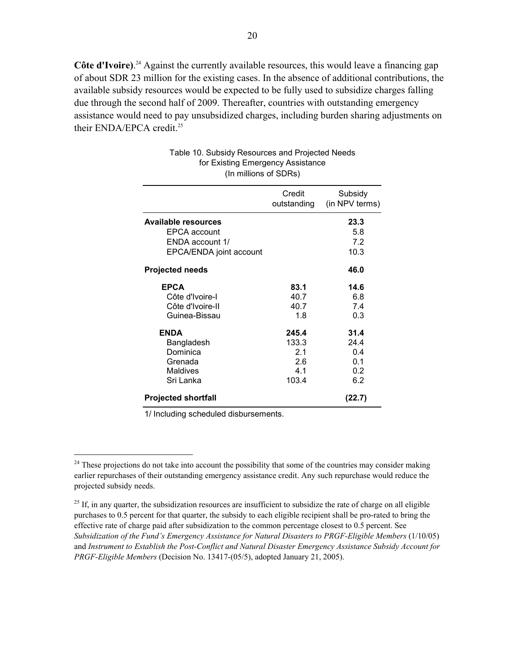Côte d'Ivoire).<sup>24</sup> Against the currently available resources, this would leave a financing gap of about SDR 23 million for the existing cases. In the absence of additional contributions, the available subsidy resources would be expected to be fully used to subsidize charges falling due through the second half of 2009. Thereafter, countries with outstanding emergency assistance would need to pay unsubsidized charges, including burden sharing adjustments on their ENDA/EPCA credit.<sup>25</sup>

| (In millions of SDRs)                |                       |                           |  |  |  |
|--------------------------------------|-----------------------|---------------------------|--|--|--|
|                                      | Credit<br>outstanding | Subsidy<br>(in NPV terms) |  |  |  |
| <b>Available resources</b>           |                       | 23.3                      |  |  |  |
| EPCA account                         |                       | 5.8                       |  |  |  |
| ENDA account 1/                      |                       | 7.2                       |  |  |  |
| EPCA/ENDA joint account              |                       | 10.3                      |  |  |  |
| <b>Projected needs</b>               |                       | 46.0                      |  |  |  |
| <b>EPCA</b>                          | 83.1                  | 14.6                      |  |  |  |
| Côte d'Ivoire-I                      | 40.7                  | 6.8                       |  |  |  |
| Côte d'Ivoire-II                     | 40.7                  | 7.4                       |  |  |  |
| Guinea-Bissau                        | 1.8                   | 0.3                       |  |  |  |
| <b>ENDA</b>                          | 245.4                 | 31.4                      |  |  |  |
| Bangladesh                           | 133.3                 | 24.4                      |  |  |  |
| Dominica                             | 2.1                   | 0.4                       |  |  |  |
| Grenada                              | 2.6                   | 0.1                       |  |  |  |
| <b>Maldives</b>                      | 4.1                   | 0.2                       |  |  |  |
| Sri Lanka                            | 103.4                 | 6.2                       |  |  |  |
| (22.7)<br><b>Projected shortfall</b> |                       |                           |  |  |  |

# Table 10. Subsidy Resources and Projected Needs for Existing Emergency Assistance

1/ Including scheduled disbursements.

 $24$  These projections do not take into account the possibility that some of the countries may consider making earlier repurchases of their outstanding emergency assistance credit. Any such repurchase would reduce the projected subsidy needs.

 $^{25}$  If, in any quarter, the subsidization resources are insufficient to subsidize the rate of charge on all eligible purchases to 0.5 percent for that quarter, the subsidy to each eligible recipient shall be pro-rated to bring the effective rate of charge paid after subsidization to the common percentage closest to 0.5 percent. See *Subsidization of the Fund's Emergency Assistance for Natural Disasters to PRGF-Eligible Members* (1/10/05) and *Instrument to Establish the Post-Conflict and Natural Disaster Emergency Assistance Subsidy Account for PRGF-Eligible Members* (Decision No. 13417-(05/5), adopted January 21, 2005).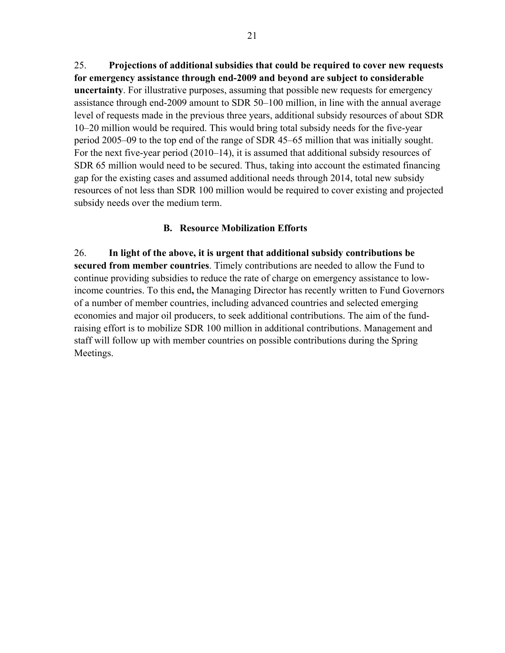25. **Projections of additional subsidies that could be required to cover new requests for emergency assistance through end-2009 and beyond are subject to considerable uncertainty**. For illustrative purposes, assuming that possible new requests for emergency assistance through end-2009 amount to SDR 50–100 million, in line with the annual average level of requests made in the previous three years, additional subsidy resources of about SDR 10–20 million would be required. This would bring total subsidy needs for the five-year period 2005–09 to the top end of the range of SDR 45–65 million that was initially sought. For the next five-year period (2010–14), it is assumed that additional subsidy resources of SDR 65 million would need to be secured. Thus, taking into account the estimated financing gap for the existing cases and assumed additional needs through 2014, total new subsidy resources of not less than SDR 100 million would be required to cover existing and projected subsidy needs over the medium term.

# **B. Resource Mobilization Efforts**

26. **In light of the above, it is urgent that additional subsidy contributions be secured from member countries**. Timely contributions are needed to allow the Fund to continue providing subsidies to reduce the rate of charge on emergency assistance to lowincome countries. To this end**,** the Managing Director has recently written to Fund Governors of a number of member countries, including advanced countries and selected emerging economies and major oil producers, to seek additional contributions. The aim of the fundraising effort is to mobilize SDR 100 million in additional contributions. Management and staff will follow up with member countries on possible contributions during the Spring Meetings.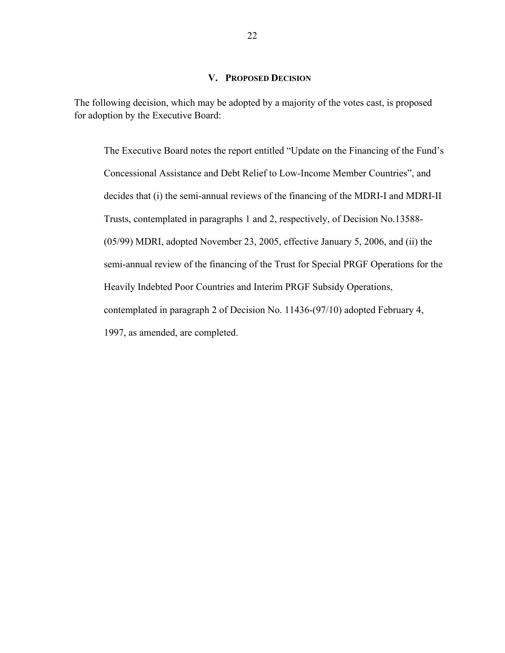### **V. PROPOSED DECISION**

The following decision, which may be adopted by a majority of the votes cast, is proposed for adoption by the Executive Board:

The Executive Board notes the report entitled "Update on the Financing of the Fund's Concessional Assistance and Debt Relief to Low-Income Member Countries", and decides that (i) the semi-annual reviews of the financing of the MDRI-I and MDRI-II Trusts, contemplated in paragraphs 1 and 2, respectively, of Decision No.13588- (05/99) MDRI, adopted November 23, 2005, effective January 5, 2006, and (ii) the semi-annual review of the financing of the Trust for Special PRGF Operations for the Heavily Indebted Poor Countries and Interim PRGF Subsidy Operations, contemplated in paragraph 2 of Decision No. 11436-(97/10) adopted February 4, 1997, as amended, are completed.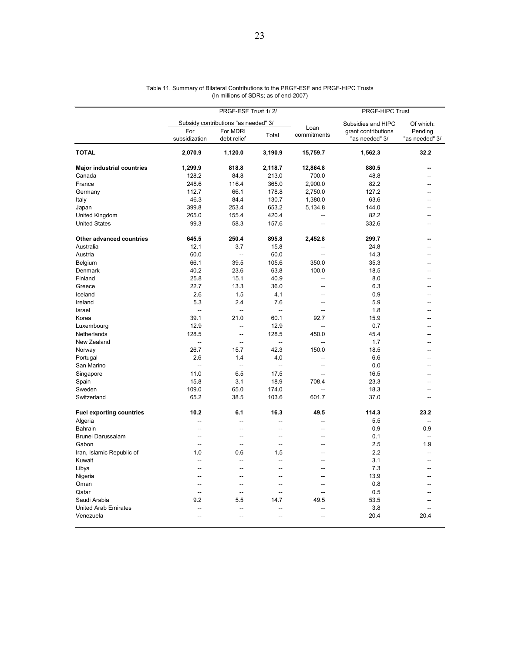|                                   |                          | PRGF-ESF Trust 1/2/                  | PRGF-HIPC Trust          |                     |                                       |                           |
|-----------------------------------|--------------------------|--------------------------------------|--------------------------|---------------------|---------------------------------------|---------------------------|
|                                   |                          | Subsidy contributions "as needed" 3/ |                          |                     | Subsidies and HIPC                    | Of which:                 |
|                                   | For<br>subsidization     | For MDRI<br>debt relief              | Total                    | Loan<br>commitments | grant contributions<br>"as needed" 3/ | Pending<br>"as needed" 3/ |
| <b>TOTAL</b>                      | 2,070.9                  | 1,120.0                              | 3,190.9                  | 15,759.7            | 1,562.3                               | 32.2                      |
| <b>Major industrial countries</b> | 1,299.9                  | 818.8                                | 2,118.7                  | 12,864.8            | 880.5                                 |                           |
| Canada                            | 128.2                    | 84.8                                 | 213.0                    | 700.0               | 48.8                                  |                           |
| France                            | 248.6                    | 116.4                                | 365.0                    | 2,900.0             | 82.2                                  | --                        |
| Germany                           | 112.7                    | 66.1                                 | 178.8                    | 2,750.0             | 127.2                                 |                           |
| Italy                             | 46.3                     | 84.4                                 | 130.7                    | 1,380.0             | 63.6                                  |                           |
| Japan                             | 399.8                    | 253.4                                | 653.2                    | 5,134.8             | 144.0                                 |                           |
| United Kingdom                    | 265.0                    | 155.4                                | 420.4                    |                     | 82.2                                  |                           |
| <b>United States</b>              | 99.3                     | 58.3                                 | 157.6                    | $\sim$              | 332.6                                 |                           |
| Other advanced countries          | 645.5                    | 250.4                                | 895.8                    | 2,452.8             | 299.7                                 |                           |
| Australia                         | 12.1                     | 3.7                                  | 15.8                     | --                  | 24.8                                  |                           |
| Austria                           | 60.0                     | Ξ.                                   | 60.0                     | $\overline{a}$      | 14.3                                  |                           |
| Belgium                           | 66.1                     | 39.5                                 | 105.6                    | 350.0               | 35.3                                  |                           |
| Denmark                           | 40.2                     | 23.6                                 | 63.8                     | 100.0               | 18.5                                  |                           |
| Finland                           | 25.8                     | 15.1                                 | 40.9                     | $\sim$              | 8.0                                   |                           |
| Greece                            | 22.7                     | 13.3                                 | 36.0                     | $\overline{a}$      | 6.3                                   |                           |
| Iceland                           | 2.6                      | 1.5                                  | 4.1                      | $\sim$              | 0.9                                   |                           |
| Ireland                           | 5.3                      | 2.4                                  | 7.6                      | $\overline{a}$      | 5.9                                   |                           |
|                                   |                          |                                      |                          |                     |                                       |                           |
| Israel                            | $\overline{\phantom{a}}$ | $\overline{a}$                       | $\overline{\phantom{a}}$ | $\overline{a}$      | 1.8                                   |                           |
| Korea                             | 39.1                     | 21.0                                 | 60.1                     | 92.7                | 15.9                                  | --                        |
| Luxembourg                        | 12.9                     | Ξ.                                   | 12.9                     |                     | 0.7                                   |                           |
| Netherlands                       | 128.5                    | Ξ.                                   | 128.5                    | 450.0               | 45.4                                  |                           |
| New Zealand                       | $\overline{\phantom{a}}$ | $\overline{a}$                       | $\sim$                   | ÷.                  | 1.7                                   |                           |
| Norway                            | 26.7                     | 15.7                                 | 42.3                     | 150.0               | 18.5                                  |                           |
| Portugal                          | 2.6                      | 1.4                                  | 4.0                      | $\overline{a}$      | 6.6                                   | $-$                       |
| San Marino                        | $\overline{a}$           | $\overline{a}$                       | $\overline{\phantom{a}}$ | --                  | 0.0                                   |                           |
| Singapore                         | 11.0                     | 6.5                                  | 17.5                     | $\sim$              | 16.5                                  |                           |
| Spain                             | 15.8                     | 3.1                                  | 18.9                     | 708.4               | 23.3                                  |                           |
| Sweden                            | 109.0                    | 65.0                                 | 174.0                    | $\sim$              | 18.3                                  | --                        |
| Switzerland                       | 65.2                     | 38.5                                 | 103.6                    | 601.7               | 37.0                                  | $\overline{a}$            |
| <b>Fuel exporting countries</b>   | 10.2                     | 6.1                                  | 16.3                     | 49.5                | 114.3                                 | 23.2                      |
| Algeria                           | Ξ.                       | Ξ.                                   | --                       |                     | 5.5                                   | μ.                        |
| Bahrain                           | $\overline{a}$           | $\overline{a}$                       | $\sim$                   | $\overline{a}$      | 0.9                                   | 0.9                       |
| Brunei Darussalam                 | $\overline{a}$           | $\overline{a}$                       | $\overline{a}$           | --                  | 0.1                                   | $\overline{a}$            |
| Gabon                             | $\sim$                   | Ξ.                                   | $\overline{a}$           | --                  | 2.5                                   | 1.9                       |
| Iran, Islamic Republic of         | 1.0                      | 0.6                                  | 1.5                      |                     | 2.2                                   | L.                        |
| Kuwait                            | Ξ.                       | Ξ.                                   | --                       | -−                  | 3.1                                   | Ξ.                        |
| Libya                             | $\overline{a}$           | $\overline{a}$                       | $\overline{a}$           | $\overline{a}$      | 7.3                                   | $\overline{a}$            |
| Nigeria                           | --                       | --                                   | --                       | --                  | 13.9                                  |                           |
| Oman                              | ш.                       | ä.                                   | $\sim$                   | $\overline{a}$      | 0.8                                   |                           |
| Qatar                             | ÷.                       | L.                                   | $\sim$                   |                     | 0.5                                   |                           |
| Saudi Arabia                      | 9.2                      | 5.5                                  | 14.7                     | 49.5                | 53.5                                  |                           |
| <b>United Arab Emirates</b>       | $\overline{a}$           |                                      | ۵.                       |                     | 3.8                                   |                           |
| Venezuela                         | $\overline{a}$           | Ξ.                                   | $\overline{a}$           |                     | 20.4                                  | 20.4                      |
|                                   |                          |                                      |                          |                     |                                       |                           |

#### Table 11. Summary of Bilateral Contributions to the PRGF-ESF and PRGF-HIPC Trusts (In millions of SDRs; as of end-2007)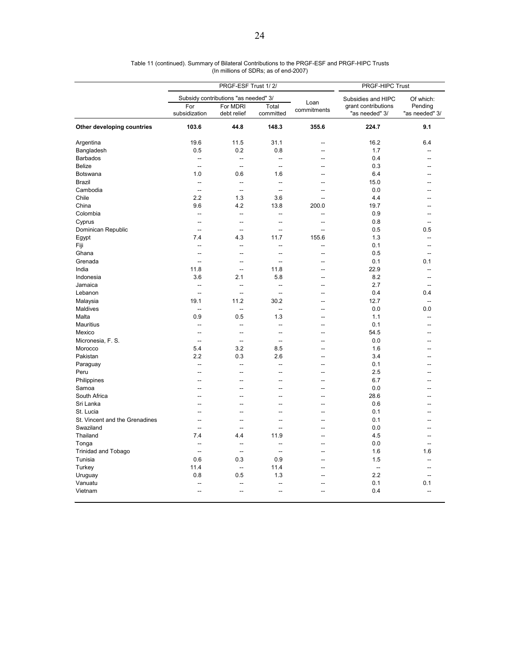|                                | PRGF-ESF Trust 1/2/      |                                      |                          |                | PRGF-HIPC Trust                       |                           |
|--------------------------------|--------------------------|--------------------------------------|--------------------------|----------------|---------------------------------------|---------------------------|
|                                |                          | Subsidy contributions "as needed" 3/ |                          | Loan           | Subsidies and HIPC                    | Of which:                 |
|                                | For<br>subsidization     | For MDRI<br>debt relief              | Total<br>committed       | commitments    | grant contributions<br>"as needed" 3/ | Pending<br>"as needed" 3/ |
| Other developing countries     | 103.6                    | 44.8                                 | 148.3                    | 355.6          | 224.7                                 | 9.1                       |
| Argentina                      | 19.6                     | 11.5                                 | 31.1                     | $\overline{a}$ | 16.2                                  | 6.4                       |
| Bangladesh                     | 0.5                      | 0.2                                  | 0.8                      | --             | 1.7                                   |                           |
| <b>Barbados</b>                | --                       | --                                   | Ξ.                       | ۵.             | 0.4                                   |                           |
| <b>Belize</b>                  | $\overline{\phantom{a}}$ | $\overline{\phantom{a}}$             | $\overline{\phantom{a}}$ | $\sim$         | 0.3                                   |                           |
| <b>Botswana</b>                | 1.0                      | 0.6                                  | 1.6                      |                | 6.4                                   |                           |
| <b>Brazil</b>                  | $\sim$                   | $\sim$                               | $\sim$                   | $\sim$         | 15.0                                  | --                        |
| Cambodia                       | $\overline{\phantom{a}}$ | $\overline{\phantom{a}}$             | Ξ.                       | $\overline{a}$ | 0.0                                   |                           |
| Chile                          | 2.2                      | 1.3                                  | 3.6                      | --             | 4.4                                   |                           |
| China                          | 9.6                      | 4.2                                  | 13.8                     | 200.0          | 19.7                                  |                           |
| Colombia                       | ÷.                       | ÷.                                   | L.                       | $\overline{a}$ | 0.9                                   |                           |
| Cyprus                         | Ξ.                       | Ξ.                                   | -−                       | ц.             | 0.8                                   | -−                        |
| Dominican Republic             | $\overline{a}$           | $\overline{a}$                       | $\overline{a}$           | $\overline{a}$ | 0.5                                   | 0.5                       |
| Egypt                          | 7.4                      | 4.3                                  | 11.7                     | 155.6          | 1.3                                   | --                        |
| Fiji                           | --                       | $\overline{\phantom{a}}$             | --                       | --             | 0.1                                   | $\overline{a}$            |
| Ghana                          | ÷.                       | Ξ.                                   | ÷.                       | $\sim$         | 0.5                                   | $\sim$                    |
| Grenada                        | Ξ.                       | Ξ.                                   | $\overline{a}$           | ц.             | 0.1                                   | 0.1                       |
| India                          | 11.8                     | Ξ.                                   | 11.8                     | $\sim$         | 22.9                                  | ÷.                        |
| Indonesia                      | 3.6                      | 2.1                                  | 5.8                      | --             | 8.2                                   | --                        |
| Jamaica                        | Ξ.                       | $\overline{\phantom{a}}$             | $\overline{a}$           | --             | 2.7                                   |                           |
| Lebanon                        | $\sim$                   | $\overline{\phantom{a}}$             | ÷.                       | $\sim$         | 0.4                                   | 0.4                       |
| Malaysia                       | 19.1                     | 11.2                                 | 30.2                     | --             | 12.7                                  | $\overline{a}$            |
| Maldives                       | $\overline{a}$           | $\overline{\phantom{a}}$             | $\overline{a}$           |                | 0.0                                   | 0.0                       |
| Malta                          | 0.9                      | 0.5                                  | 1.3                      | $\overline{a}$ | 1.1                                   | --                        |
| <b>Mauritius</b>               | --                       | $\overline{\phantom{a}}$             | Ξ.                       | --             | 0.1                                   | --                        |
| Mexico                         | Ξ.                       | Ξ.                                   | Ξ.                       |                | 54.5                                  |                           |
| Micronesia, F. S.              | $\overline{\phantom{a}}$ | $\overline{\phantom{a}}$             | $\overline{a}$           | $\overline{a}$ | 0.0                                   |                           |
| Morocco                        | 5.4                      | 3.2                                  | 8.5                      | --             | 1.6                                   |                           |
| Pakistan                       | 2.2                      | 0.3                                  | 2.6                      | $\sim$         | 3.4                                   | --                        |
| Paraguay                       | Ξ.                       | $\overline{\phantom{a}}$             | $\overline{a}$           | --             | 0.1                                   | --                        |
| Peru                           | Ξ.                       | Ξ.                                   | --                       | --             | 2.5                                   |                           |
| Philippines                    | $\overline{a}$           | $\overline{a}$                       | Ξ.                       | $\overline{a}$ | 6.7                                   | --                        |
| Samoa                          | Ξ.                       | Ξ.                                   | Ξ.                       | Ξ.             | 0.0                                   |                           |
| South Africa                   | Ξ.                       | Ξ.                                   | --                       | --             | 28.6                                  |                           |
| Sri Lanka                      | $\overline{a}$           | $\overline{a}$                       | $\overline{a}$           | $\overline{a}$ | 0.6                                   | --                        |
| St. Lucia                      | --                       | --                                   | --                       | $\overline{a}$ | 0.1                                   |                           |
| St. Vincent and the Grenadines | $\overline{a}$           | Ξ.                                   | --                       | $\sim$         | 0.1                                   |                           |
| Swaziland                      | $\sim$                   | Ξ.                                   | Ξ.                       | $\sim$         | 0.0                                   |                           |
| Thailand                       | 7.4                      | 4.4                                  | 11.9                     | $\overline{a}$ | 4.5                                   |                           |
| Tonga                          | $\overline{a}$           | $\overline{\phantom{a}}$             | $\overline{a}$           | $\sim$         | 0.0                                   | $\sim$                    |
| <b>Trinidad and Tobago</b>     | ÷.                       | ÷.                                   | ä.                       | ц.             | 1.6                                   | 1.6                       |
| Tunisia                        | 0.6                      | 0.3                                  | 0.9                      | --             | 1.5                                   |                           |
| Turkey                         | 11.4                     | $\overline{\phantom{a}}$             | 11.4                     | $\overline{a}$ | $\overline{a}$                        | --                        |
| Uruguay                        | 0.8                      | 0.5                                  | 1.3                      |                | 2.2                                   | $\sim$                    |
| Vanuatu                        |                          |                                      | Ξ.                       |                | 0.1                                   | 0.1                       |
| Vietnam                        | $\overline{a}$           | $\overline{a}$                       | $\overline{a}$           | $\overline{a}$ | 0.4                                   | $\overline{a}$            |

#### Table 11 (continued). Summary of Bilateral Contributions to the PRGF-ESF and PRGF-HIPC Trusts (In millions of SDRs; as of end-2007)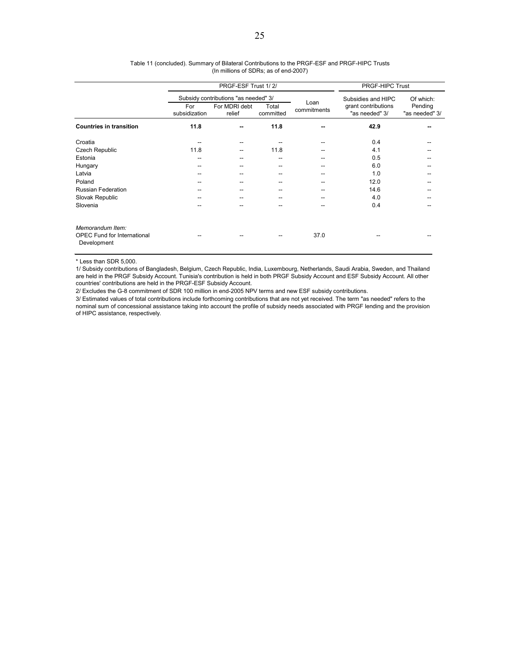|                                                                       |                      | PRGF-ESF Trust 1/2/                  | <b>PRGF-HIPC Trust</b> |             |                                       |                           |
|-----------------------------------------------------------------------|----------------------|--------------------------------------|------------------------|-------------|---------------------------------------|---------------------------|
|                                                                       |                      | Subsidy contributions "as needed" 3/ |                        | Loan        | Subsidies and HIPC                    | Of which:                 |
|                                                                       | For<br>subsidization | For MDRI debt<br>relief              | Total<br>committed     | commitments | grant contributions<br>"as needed" 3/ | Pending<br>"as needed" 3/ |
| <b>Countries in transition</b>                                        | 11.8                 |                                      | 11.8                   |             | 42.9                                  |                           |
| Croatia                                                               |                      |                                      |                        |             | 0.4                                   |                           |
| Czech Republic                                                        | 11.8                 | --                                   | 11.8                   |             | 4.1                                   |                           |
| Estonia                                                               | --                   |                                      |                        |             | 0.5                                   |                           |
| Hungary                                                               | --                   |                                      | --                     |             | 6.0                                   |                           |
| Latvia                                                                | --                   |                                      | --                     |             | 1.0                                   |                           |
| Poland                                                                | --                   |                                      |                        |             | 12.0                                  |                           |
| <b>Russian Federation</b>                                             |                      |                                      |                        |             | 14.6                                  |                           |
| Slovak Republic                                                       |                      |                                      |                        |             | 4.0                                   |                           |
| Slovenia                                                              |                      |                                      |                        | --          | 0.4                                   |                           |
| Memorandum Item:<br><b>OPEC Fund for International</b><br>Development |                      |                                      |                        | 37.0        |                                       |                           |

#### Table 11 (concluded). Summary of Bilateral Contributions to the PRGF-ESF and PRGF-HIPC Trusts (In millions of SDRs; as of end-2007)

\* Less than SDR 5,000.

1/ Subsidy contributions of Bangladesh, Belgium, Czech Republic, India, Luxembourg, Netherlands, Saudi Arabia, Sweden, and Thailand are held in the PRGF Subsidy Account. Tunisia's contribution is held in both PRGF Subsidy Account and ESF Subsidy Account. All other countries' contributions are held in the PRGF-ESF Subsidy Account.

2/ Excludes the G-8 commitment of SDR 100 million in end-2005 NPV terms and new ESF subsidy contributions.

3/ Estimated values of total contributions include forthcoming contributions that are not yet received. The term "as needed" refers to the nominal sum of concessional assistance taking into account the profile of subsidy needs associated with PRGF lending and the provision of HIPC assistance, respectively.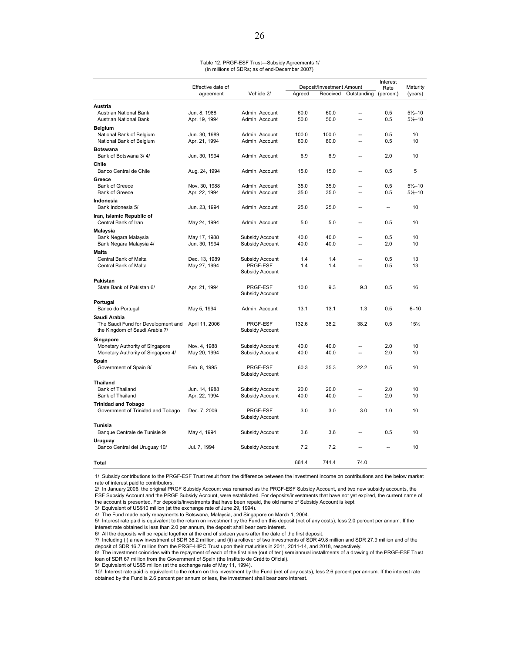| Table 12. PRGF-ESF Trust-Subsidy Agreements 1/ |  |
|------------------------------------------------|--|
| (In millions of SDRs; as of end-December 2007) |  |

|                                                    | Effective date of |                             |        | Deposit/Investment Amount |                          |                   | Maturity            |
|----------------------------------------------------|-------------------|-----------------------------|--------|---------------------------|--------------------------|-------------------|---------------------|
|                                                    | agreement         | Vehicle 2/                  | Agreed | Received                  | Outstanding              | Rate<br>(percent) | (years)             |
| Austria                                            |                   |                             |        |                           |                          |                   |                     |
| Austrian National Bank                             | Jun. 8, 1988      | Admin. Account              | 60.0   | 60.0                      | $\overline{a}$           | 0.5               | $5\frac{1}{2} - 10$ |
| Austrian National Bank                             | Apr. 19, 1994     | Admin. Account              | 50.0   | 50.0                      | $\sim$                   | 0.5               | $5\frac{1}{2} - 10$ |
| <b>Belgium</b>                                     |                   |                             |        |                           |                          |                   |                     |
| National Bank of Belgium                           | Jun. 30, 1989     | Admin. Account              | 100.0  | 100.0                     | $\overline{a}$           | 0.5               | 10                  |
| National Bank of Belgium                           | Apr. 21, 1994     | Admin. Account              | 80.0   | 80.0                      | $\overline{a}$           | 0.5               | 10                  |
| <b>Botswana</b>                                    |                   |                             |        |                           |                          |                   |                     |
| Bank of Botswana 3/4/                              | Jun. 30, 1994     | Admin, Account              | 6.9    | 6.9                       | Ξ.                       | 2.0               | 10                  |
| Chile                                              |                   |                             |        |                           |                          |                   |                     |
| Banco Central de Chile                             | Aug. 24, 1994     | Admin. Account              | 15.0   | 15.0                      | $\overline{a}$           | 0.5               | 5                   |
| Greece                                             |                   |                             |        |                           |                          |                   |                     |
| <b>Bank of Greece</b>                              | Nov. 30, 1988     | Admin. Account              | 35.0   | 35.0                      |                          | 0.5               | $5\frac{1}{2}$ -10  |
| <b>Bank of Greece</b>                              | Apr. 22, 1994     | Admin, Account              | 35.0   | 35.0                      | $\overline{a}$           | 0.5               | $5\frac{1}{2} - 10$ |
| Indonesia                                          |                   |                             |        |                           |                          |                   |                     |
| Bank Indonesia 5/                                  | Jun. 23, 1994     | Admin. Account              | 25.0   | 25.0                      | $\sim$                   | $\overline{a}$    | 10                  |
| Iran, Islamic Republic of                          |                   |                             |        |                           |                          |                   |                     |
| Central Bank of Iran                               | May 24, 1994      | Admin. Account              | 5.0    | 5.0                       |                          | 0.5               | 10                  |
| Malaysia                                           |                   |                             |        |                           |                          |                   |                     |
| Bank Negara Malaysia                               | May 17, 1988      | Subsidy Account             | 40.0   | 40.0                      |                          | 0.5               | 10                  |
| Bank Negara Malaysia 4/                            | Jun. 30, 1994     | Subsidy Account             | 40.0   | 40.0                      | --                       | 2.0               | 10                  |
| <b>Malta</b>                                       |                   |                             |        |                           |                          |                   |                     |
| Central Bank of Malta                              | Dec. 13, 1989     | Subsidy Account             | 1.4    | 1.4                       | $\overline{a}$           | 0.5               | 13                  |
| Central Bank of Malta                              | May 27, 1994      | PRGF-ESF                    | 1.4    | 1.4                       | $\sim$                   | 0.5               | 13                  |
|                                                    |                   | Subsidy Account             |        |                           |                          |                   |                     |
| Pakistan                                           |                   |                             |        |                           |                          |                   |                     |
| State Bank of Pakistan 6/                          | Apr. 21, 1994     | PRGF-ESF<br>Subsidy Account | 10.0   | 9.3                       | 9.3                      | 0.5               | 16                  |
|                                                    |                   |                             |        |                           |                          |                   |                     |
| Portugal<br>Banco do Portugal                      | May 5, 1994       | Admin, Account              | 13.1   | 13.1                      | 1.3                      | 0.5               | $6 - 10$            |
|                                                    |                   |                             |        |                           |                          |                   |                     |
| Saudi Arabia<br>The Saudi Fund for Development and | April 11, 2006    | PRGF-ESF                    | 132.6  | 38.2                      | 38.2                     | 0.5               | 15%                 |
| the Kingdom of Saudi Arabia 7/                     |                   | Subsidy Account             |        |                           |                          |                   |                     |
|                                                    |                   |                             |        |                           |                          |                   |                     |
| Singapore<br>Monetary Authority of Singapore       | Nov. 4, 1988      | Subsidy Account             | 40.0   | 40.0                      |                          | 2.0               | 10                  |
| Monetary Authority of Singapore 4/                 | May 20, 1994      | Subsidy Account             | 40.0   | 40.0                      | $\sim$                   | 2.0               | 10                  |
| Spain                                              |                   |                             |        |                           |                          |                   |                     |
| Government of Spain 8/                             | Feb. 8, 1995      | PRGF-ESF                    | 60.3   | 35.3                      | 22.2                     | 0.5               | 10                  |
|                                                    |                   | Subsidy Account             |        |                           |                          |                   |                     |
| Thailand                                           |                   |                             |        |                           |                          |                   |                     |
| Bank of Thailand                                   | Jun. 14, 1988     | Subsidy Account             | 20.0   | 20.0                      |                          | 2.0               | 10                  |
| Bank of Thailand                                   | Apr. 22, 1994     | Subsidy Account             | 40.0   | 40.0                      | $\overline{a}$           | 2.0               | 10                  |
| <b>Trinidad and Tobago</b>                         |                   |                             |        |                           |                          |                   |                     |
| Government of Trinidad and Tobago                  | Dec. 7, 2006      | PRGF-ESF                    | 3.0    | 3.0                       | 3.0                      | 1.0               | 10                  |
|                                                    |                   | Subsidy Account             |        |                           |                          |                   |                     |
| Tunisia                                            |                   |                             |        |                           |                          |                   |                     |
| Banque Centrale de Tunisie 9/                      | May 4, 1994       | Subsidy Account             | 3.6    | 3.6                       | $\overline{\phantom{a}}$ | 0.5               | 10                  |
| Uruguay                                            |                   |                             |        |                           |                          |                   |                     |
| Banco Central del Uruguay 10/                      | Jul. 7, 1994      | Subsidy Account             | 7.2    | 7.2                       |                          |                   | 10                  |
|                                                    |                   |                             |        |                           |                          |                   |                     |
| Total                                              |                   |                             | 864.4  | 744.4                     | 74.0                     |                   |                     |

1/ Subsidy contributions to the PRGF-ESF Trust result from the difference between the investment income on contributions and the below market rate of interest paid to contributors.

2/ In January 2006, the original PRGF Subsidy Account was renamed as the PRGF-ESF Subsidy Account, and two new subsidy accounts, the ESF Subsidy Account and the PRGF Subsidy Account, were established. For deposits/investments that have not yet expired, the current name of the account is presented. For deposits/investments that have been repaid, the old name of Subsidy Account is kept.

3/ Equivalent of US\$10 million (at the exchange rate of June 29, 1994).

4/ The Fund made early repayments to Botswana, Malaysia, and Singapore on March 1, 2004.

5/ Interest rate paid is equivalent to the return on investment by the Fund on this deposit (net of any costs), less 2.0 percent per annum. If the interest rate obtained is less than 2.0 per annum, the deposit shall bear zero interest.

6/ All the deposits will be repaid together at the end of sixteen years after the date of the first deposit.

7/ Including (i) a new investment of SDR 38.2 million; and (ii) a rollover of two investments of SDR 49.8 million and SDR 27.9 million and of the deposit of SDR 16.7 million from the PRGF-HIPC Trust upon their maturities in 2011, 2011-14, and 2018, respectively.

8/ The investment coincides with the repayment of each of the first nine (out of ten) semiannual installments of a drawing of the PRGF-ESF Trust loan of SDR 67 million from the Government of Spain (the Instituto de Crédito Oficial).

9/ Equivalent of US\$5 million (at the exchange rate of May 11, 1994).

10/ Interest rate paid is equivalent to the return on this investment by the Fund (net of any costs), less 2.6 percent per annum. If the interest rate obtained by the Fund is 2.6 percent per annum or less, the investment shall bear zero interest.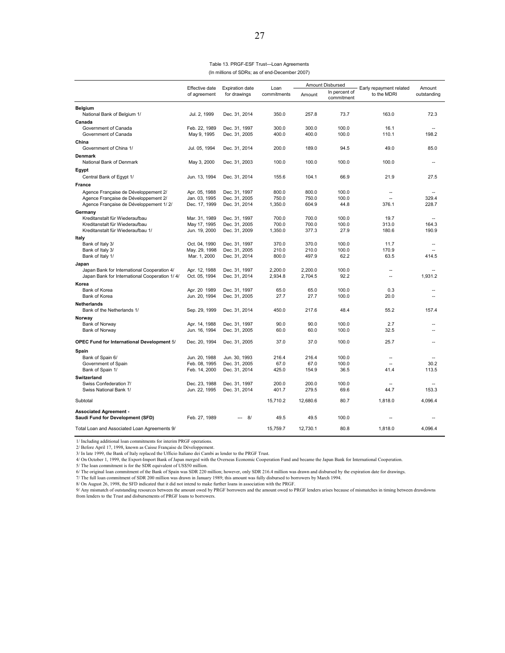Table 13. PRGF-ESF Trust—Loan Agreements (In millions of SDRs; as of end-December 2007)

|                                                                              | Effective date                 | <b>Expiration date</b>         | Loan           | <b>Amount Disbursed</b> |                             | Early repayment related | Amount          |
|------------------------------------------------------------------------------|--------------------------------|--------------------------------|----------------|-------------------------|-----------------------------|-------------------------|-----------------|
|                                                                              | of agreement                   | for drawings                   | commitments    | Amount                  | In percent of<br>commitment | to the MDRI             | outstanding     |
| <b>Belgium</b>                                                               |                                |                                |                |                         |                             |                         |                 |
| National Bank of Belgium 1/                                                  | Jul. 2, 1999                   | Dec. 31, 2014                  | 350.0          | 257.8                   | 73.7                        | 163.0                   | 72.3            |
| Canada                                                                       |                                |                                |                |                         |                             |                         |                 |
| Government of Canada                                                         | Feb. 22, 1989                  | Dec. 31, 1997                  | 300.0          | 300.0                   | 100.0                       | 16.1                    |                 |
| Government of Canada                                                         | May 9, 1995                    | Dec. 31, 2005                  | 400.0          | 400.0                   | 100.0                       | 110.1                   | 198.2           |
| China                                                                        |                                |                                |                | 189.0                   |                             |                         | 85.0            |
| Government of China 1/                                                       | Jul. 05, 1994                  | Dec. 31, 2014                  | 200.0          |                         | 94.5                        | 49.0                    |                 |
| <b>Denmark</b><br>National Bank of Denmark                                   | May 3, 2000                    | Dec. 31, 2003                  | 100.0          | 100.0                   | 100.0                       | 100.0                   | ٠.              |
| Egypt                                                                        |                                |                                |                |                         |                             |                         |                 |
| Central Bank of Egypt 1/                                                     | Jun. 13, 1994                  | Dec. 31, 2014                  | 155.6          | 104.1                   | 66.9                        | 21.9                    | 27.5            |
|                                                                              |                                |                                |                |                         |                             |                         |                 |
| France                                                                       |                                |                                | 800.0          | 800.0                   | 100.0                       | $\sim$                  | $\sim$          |
| Agence Française de Développement 2/<br>Agence Française de Développement 2/ | Apr. 05, 1988<br>Jan. 03, 1995 | Dec. 31, 1997<br>Dec. 31, 2005 | 750.0          | 750.0                   | 100.0                       | $\sim$                  | 329.4           |
| Agence Française de Développement 1/2/                                       | Dec. 17, 1999                  | Dec. 31, 2014                  | 1,350.0        | 604.9                   | 44.8                        | 376.1                   | 228.7           |
| Germany                                                                      |                                |                                |                |                         |                             |                         |                 |
| Kreditanstalt für Wiederaufbau                                               | Mar. 31, 1989                  | Dec. 31, 1997                  | 700.0          | 700.0                   | 100.0                       | 19.7                    | ä.              |
| Kreditanstalt für Wiederaufbau                                               | May 17, 1995                   | Dec. 31, 2005                  | 700.0          | 700.0                   | 100.0                       | 313.0                   | 164.3           |
| Kreditanstalt für Wiederaufbau 1/                                            | Jun. 19, 2000                  | Dec. 31, 2009                  | 1,350.0        | 377.3                   | 27.9                        | 180.6                   | 190.9           |
| Italy                                                                        |                                |                                |                |                         |                             |                         |                 |
| Bank of Italy 3/                                                             | Oct. 04, 1990                  | Dec. 31, 1997                  | 370.0          | 370.0                   | 100.0                       | 11.7                    | $\sim$          |
| Bank of Italy 3/<br>Bank of Italy 1/                                         | May. 29, 1998<br>Mar. 1, 2000  | Dec. 31, 2005<br>Dec. 31, 2014 | 210.0<br>800.0 | 210.0<br>497.9          | 100.0<br>62.2               | 170.9<br>63.5           | $\sim$<br>414.5 |
|                                                                              |                                |                                |                |                         |                             |                         |                 |
| Japan<br>Japan Bank for International Cooperation 4/                         | Apr. 12, 1988                  | Dec. 31, 1997                  | 2,200.0        | 2,200.0                 | 100.0                       | $\sim$                  |                 |
| Japan Bank for International Cooperation 1/4/                                | Oct. 05, 1994                  | Dec. 31, 2014                  | 2,934.8        | 2,704.5                 | 92.2                        | $\sim$                  | 1.931.2         |
| Korea                                                                        |                                |                                |                |                         |                             |                         |                 |
| Bank of Korea                                                                | Apr. 20 1989                   | Dec. 31, 1997                  | 65.0           | 65.0                    | 100.0                       | 0.3                     | ٠.              |
| Bank of Korea                                                                | Jun. 20, 1994                  | Dec. 31, 2005                  | 27.7           | 27.7                    | 100.0                       | 20.0                    |                 |
| <b>Netherlands</b>                                                           |                                |                                |                |                         |                             |                         |                 |
| Bank of the Netherlands 1/                                                   | Sep. 29, 1999                  | Dec. 31, 2014                  | 450.0          | 217.6                   | 48.4                        | 55.2                    | 157.4           |
| Norway                                                                       |                                |                                |                |                         |                             |                         |                 |
| Bank of Norway                                                               | Apr. 14, 1988                  | Dec. 31, 1997                  | 90.0           | 90.0                    | 100.0                       | 2.7                     |                 |
| Bank of Norway                                                               | Jun. 16, 1994                  | Dec. 31, 2005                  | 60.0           | 60.0                    | 100.0                       | 32.5                    |                 |
| OPEC Fund for International Development 5/                                   | Dec. 20, 1994                  | Dec. 31, 2005                  | 37.0           | 37.0                    | 100.0                       | 25.7                    |                 |
| Spain                                                                        |                                |                                |                |                         |                             |                         |                 |
| Bank of Spain 6/                                                             | Jun. 20, 1988                  | Jun. 30, 1993                  | 216.4          | 216.4                   | 100.0                       | $\overline{a}$          |                 |
| Government of Spain                                                          | Feb. 08, 1995                  | Dec. 31, 2005                  | 67.0           | 67.0                    | 100.0                       |                         | 30.2            |
| Bank of Spain 1/                                                             | Feb. 14, 2000                  | Dec. 31, 2014                  | 425.0          | 154.9                   | 36.5                        | 41.4                    | 113.5           |
| <b>Switzerland</b>                                                           |                                |                                |                |                         |                             |                         |                 |
| Swiss Confederation 7/                                                       | Dec. 23, 1988                  | Dec. 31, 1997                  | 200.0          | 200.0                   | 100.0                       |                         |                 |
| Swiss National Bank 1/                                                       | Jun. 22, 1995                  | Dec. 31, 2014                  | 401.7          | 279.5                   | 69.6                        | 44.7                    | 153.3           |
| Subtotal                                                                     |                                |                                | 15,710.2       | 12,680.6                | 80.7                        | 1,818.0                 | 4,096.4         |
| <b>Associated Agreement -</b>                                                |                                |                                |                |                         |                             |                         |                 |
| Saudi Fund for Development (SFD)                                             | Feb. 27, 1989                  | 8/<br>$\overline{a}$           | 49.5           | 49.5                    | 100.0                       |                         |                 |
| Total Loan and Associated Loan Agreements 9/                                 |                                |                                | 15.759.7       | 12.730.1                | 80.8                        | 1.818.0                 | 4.096.4         |

1/ Including additional loan commitments for interim PRGF operations.

2/ Before April 17, 1998, known as Caisse Française de Développement. 3/ In late 1999, the Bank of Italy replaced the Ufficio Italiano dei Cambi as lender to the PRGF Trust.

4/ On October 1, 1999, the Export-Import Bank of Japan merged with the Overseas Economic Cooperation Fund and became the Japan Bank for International Cooperation.

5/ The loan commitment is for the SDR equivalent of US\$50 million.

6/ The original loan commitment of the Bank of Spain was SDR 220 million; however, only SDR 216.4 million was drawn and disbursed by the expiration date for drawings.<br>7/ The full loan commitment of SDR 200 million was draw

9/ Any mismatch of outstanding resources between the amount owed by PRGF borrowers and the amount owed to PRGF lenders arises because of mismatches in timing between drawdowns from lenders to the Trust and disbursements of PRGF loans to borrowers.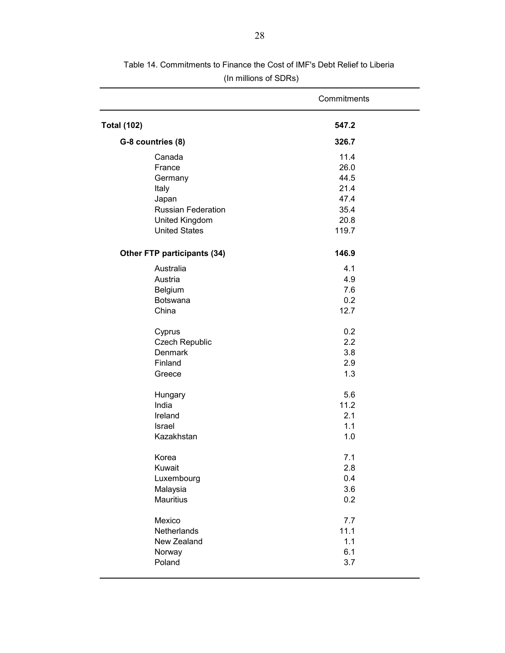|                             | Commitments |
|-----------------------------|-------------|
| <b>Total (102)</b>          | 547.2       |
| G-8 countries (8)           | 326.7       |
| Canada                      | 11.4        |
| France                      | 26.0        |
| Germany                     | 44.5        |
| Italy                       | 21.4        |
| Japan                       | 47.4        |
| Russian Federation          | 35.4        |
| United Kingdom              | 20.8        |
| <b>United States</b>        | 119.7       |
| Other FTP participants (34) | 146.9       |
| Australia                   | 4.1         |
| Austria                     | 4.9         |
| Belgium                     | 7.6         |
| <b>Botswana</b>             | 0.2         |
| China                       | 12.7        |
| Cyprus                      | 0.2         |
| Czech Republic              | 2.2         |
| <b>Denmark</b>              | 3.8         |
| Finland                     | 2.9         |
| Greece                      | 1.3         |
| Hungary                     | 5.6         |
| India                       | 11.2        |
| Ireland                     | 2.1         |
| Israel                      | 1.1         |
| Kazakhstan                  | 1.0         |
| Korea                       | 7.1         |
| Kuwait                      | 2.8         |
| Luxembourg                  | 0.4         |
| Malaysia                    | 3.6         |
| Mauritius                   | 0.2         |
| Mexico                      | 7.7         |
| Netherlands                 | 11.1        |
| New Zealand                 | 1.1         |
| Norway                      | 6.1         |
| Poland                      | 3.7         |
|                             |             |

Table 14. Commitments to Finance the Cost of IMF's Debt Relief to Liberia (In millions of SDRs)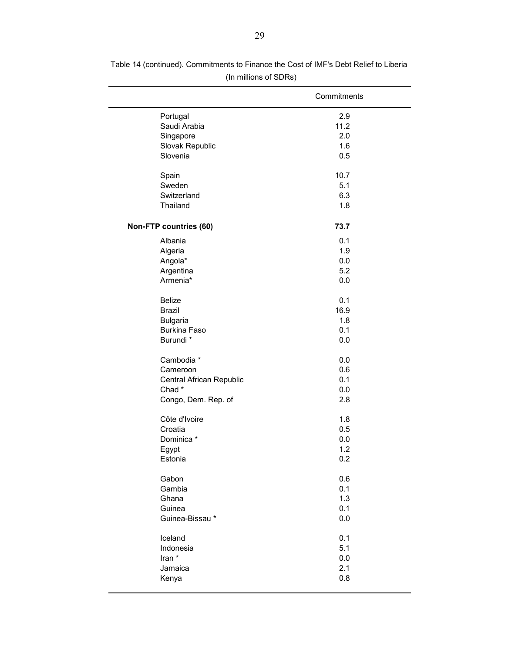|                          | Commitments |
|--------------------------|-------------|
| Portugal                 | 2.9         |
| Saudi Arabia             | 11.2        |
| Singapore                | 2.0         |
| Slovak Republic          | 1.6         |
| Slovenia                 | 0.5         |
| Spain                    | 10.7        |
| Sweden                   | 5.1         |
| Switzerland              | 6.3         |
| Thailand                 | 1.8         |
| Non-FTP countries (60)   | 73.7        |
| Albania                  | 0.1         |
| Algeria                  | 1.9         |
| Angola*                  | 0.0         |
| Argentina                | 5.2         |
| Armenia*                 | 0.0         |
| <b>Belize</b>            | 0.1         |
| <b>Brazil</b>            | 16.9        |
| <b>Bulgaria</b>          | 1.8         |
| <b>Burkina Faso</b>      | 0.1         |
| Burundi *                | 0.0         |
| Cambodia *               | 0.0         |
| Cameroon                 | 0.6         |
| Central African Republic | 0.1         |
| Chad*                    | 0.0         |
| Congo, Dem. Rep. of      | 2.8         |
| Côte d'Ivoire            | 1.8         |
| Croatia                  | 0.5         |
| Dominica *               | 0.0         |
| Egypt                    | 1.2         |
| Estonia                  | 0.2         |
| Gabon                    | 0.6         |
| Gambia                   | 0.1         |
| Ghana                    | 1.3         |
| Guinea                   | 0.1         |
| Guinea-Bissau*           | 0.0         |
| Iceland                  | 0.1         |
| Indonesia                | 5.1         |
| Iran *                   | 0.0         |
| Jamaica                  | 2.1         |
| Kenya                    | 0.8         |
|                          |             |

Table 14 (continued). Commitments to Finance the Cost of IMF's Debt Relief to Liberia (In millions of SDRs)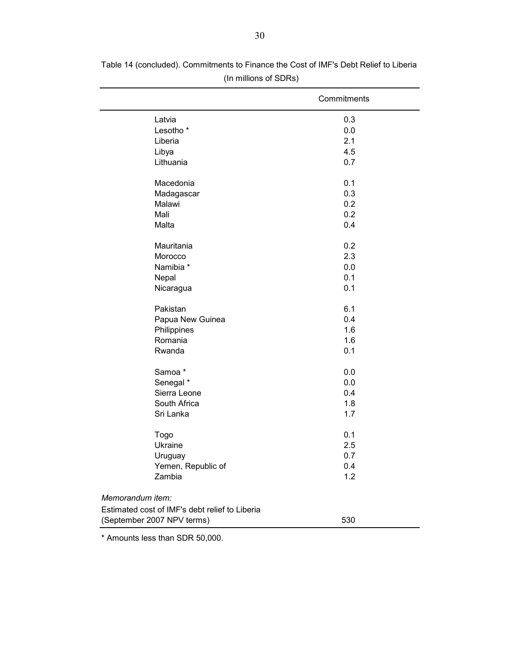|                                                | Commitments |
|------------------------------------------------|-------------|
| Latvia                                         | 0.3         |
| Lesotho <sup>*</sup>                           | 0.0         |
| Liberia                                        | 2.1         |
| Libya                                          | 4.5         |
| Lithuania                                      | 0.7         |
| Macedonia                                      | 0.1         |
| Madagascar                                     | 0.3         |
| Malawi                                         | 0.2         |
| Mali                                           | 0.2         |
| Malta                                          | 0.4         |
| Mauritania                                     | 0.2         |
| Morocco                                        | 2.3         |
| Namibia *                                      | 0.0         |
| Nepal                                          | 0.1         |
| Nicaragua                                      | 0.1         |
| Pakistan                                       | 6.1         |
| Papua New Guinea                               | 0.4         |
| Philippines                                    | 1.6         |
| Romania                                        | 1.6         |
| Rwanda                                         | 0.1         |
| Samoa*                                         | 0.0         |
| Senegal *                                      | 0.0         |
| Sierra Leone                                   | 0.4         |
| South Africa                                   | 1.8         |
| Sri Lanka                                      | 1.7         |
| <b>Togo</b>                                    | 0.1         |
| Ukraine                                        | 2.5         |
| Uruguay                                        | 0.7         |
| Yemen, Republic of                             | 0.4         |
| Zambia                                         | 1.2         |
| Memorandum item:                               |             |
| Estimated cost of IMF's debt relief to Liberia |             |
| (September 2007 NPV terms)<br>530              |             |

Table 14 (concluded). Commitments to Finance the Cost of IMF's Debt Relief to Liberia (In millions of SDRs)

\* Amounts less than SDR 50,000.